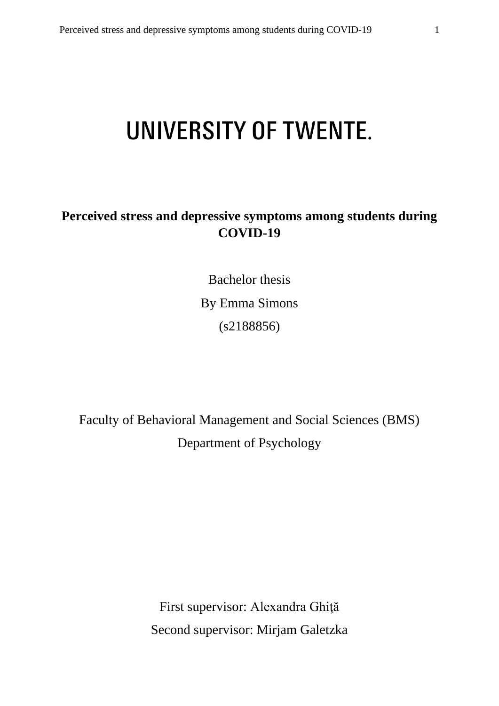# UNIVERSITY OF TWENTE.

# **Perceived stress and depressive symptoms among students during COVID-19**

Bachelor thesis By Emma Simons (s2188856)

Faculty of Behavioral Management and Social Sciences (BMS) Department of Psychology

> First supervisor: Alexandra Ghiţă Second supervisor: Mirjam Galetzka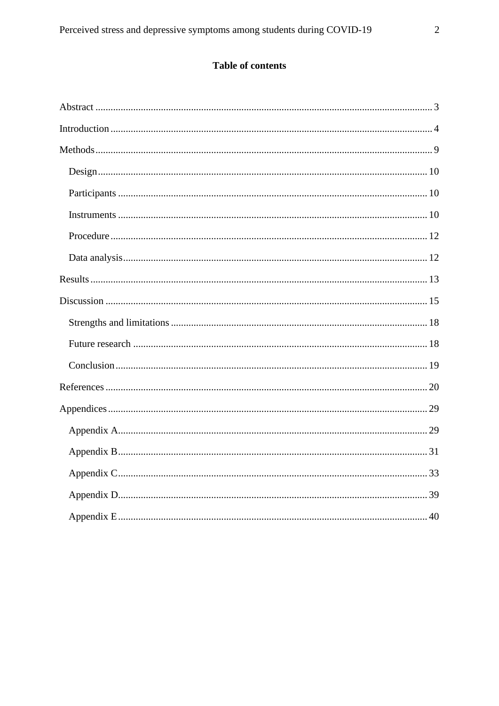# Table of contents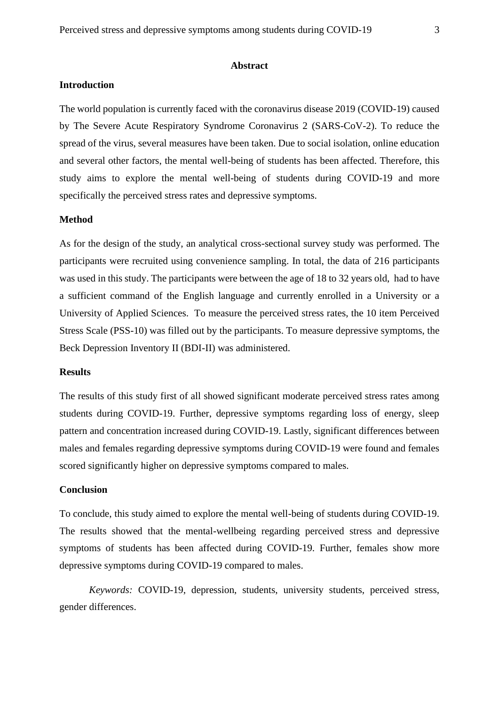#### **Abstract**

## <span id="page-2-0"></span>**Introduction**

The world population is currently faced with the coronavirus disease 2019 (COVID-19) caused by The Severe Acute Respiratory Syndrome Coronavirus 2 (SARS-CoV-2). To reduce the spread of the virus, several measures have been taken. Due to social isolation, online education and several other factors, the mental well-being of students has been affected. Therefore, this study aims to explore the mental well-being of students during COVID-19 and more specifically the perceived stress rates and depressive symptoms.

## **Method**

As for the design of the study, an analytical cross-sectional survey study was performed. The participants were recruited using convenience sampling. In total, the data of 216 participants was used in this study. The participants were between the age of 18 to 32 years old, had to have a sufficient command of the English language and currently enrolled in a University or a University of Applied Sciences. To measure the perceived stress rates, the 10 item Perceived Stress Scale (PSS-10) was filled out by the participants. To measure depressive symptoms, the Beck Depression Inventory II (BDI-II) was administered.

## **Results**

The results of this study first of all showed significant moderate perceived stress rates among students during COVID-19. Further, depressive symptoms regarding loss of energy, sleep pattern and concentration increased during COVID-19. Lastly, significant differences between males and females regarding depressive symptoms during COVID-19 were found and females scored significantly higher on depressive symptoms compared to males.

## **Conclusion**

To conclude, this study aimed to explore the mental well-being of students during COVID-19. The results showed that the mental-wellbeing regarding perceived stress and depressive symptoms of students has been affected during COVID-19. Further, females show more depressive symptoms during COVID-19 compared to males.

*Keywords:* COVID-19, depression, students, university students, perceived stress, gender differences.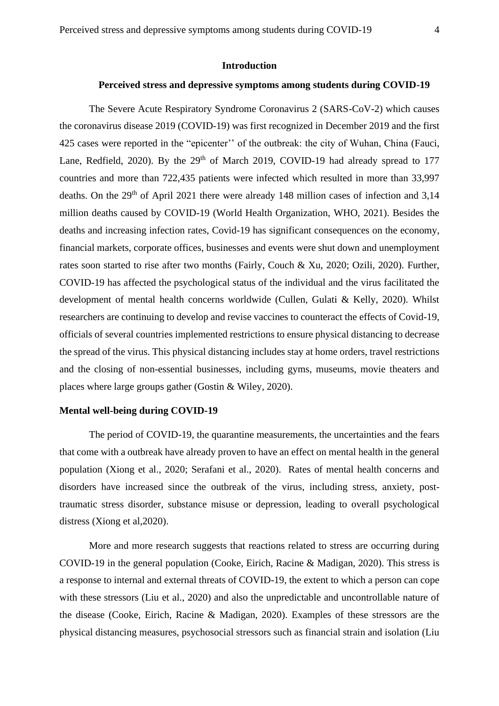### **Introduction**

## **Perceived stress and depressive symptoms among students during COVID-19**

<span id="page-3-0"></span>The Severe Acute Respiratory Syndrome Coronavirus 2 (SARS-CoV-2) which causes the coronavirus disease 2019 (COVID-19) was first recognized in December 2019 and the first 425 cases were reported in the "epicenter'' of the outbreak: the city of Wuhan, China (Fauci, Lane, Redfield, 2020). By the  $29<sup>th</sup>$  of March 2019, COVID-19 had already spread to 177 countries and more than 722,435 patients were infected which resulted in more than 33,997 deaths. On the 29<sup>th</sup> of April 2021 there were already 148 million cases of infection and 3,14 million deaths caused by COVID-19 (World Health Organization, WHO, 2021). Besides the deaths and increasing infection rates, Covid-19 has significant consequences on the economy, financial markets, corporate offices, businesses and events were shut down and unemployment rates soon started to rise after two months (Fairly, Couch & Xu, 2020; Ozili, 2020). Further, COVID-19 has affected the psychological status of the individual and the virus facilitated the development of mental health concerns worldwide (Cullen, Gulati & Kelly, 2020). Whilst researchers are continuing to develop and revise vaccines to counteract the effects of Covid-19, officials of several countries implemented restrictions to ensure physical distancing to decrease the spread of the virus. This physical distancing includes stay at home orders, travel restrictions and the closing of non-essential businesses, including gyms, museums, movie theaters and places where large groups gather (Gostin & Wiley, 2020).

## **Mental well-being during COVID-19**

The period of COVID-19, the quarantine measurements, the uncertainties and the fears that come with a outbreak have already proven to have an effect on mental health in the general population (Xiong et al., 2020; Serafani et al., 2020). Rates of mental health concerns and disorders have increased since the outbreak of the virus, including stress, anxiety, posttraumatic stress disorder, substance misuse or depression, leading to overall psychological distress (Xiong et al,2020).

More and more research suggests that reactions related to stress are occurring during COVID-19 in the general population (Cooke, Eirich, Racine & Madigan, 2020). This stress is a response to internal and external threats of COVID-19, the extent to which a person can cope with these stressors (Liu et al., 2020) and also the unpredictable and uncontrollable nature of the disease (Cooke, Eirich, Racine & Madigan, 2020). Examples of these stressors are the physical distancing measures, psychosocial stressors such as financial strain and isolation (Liu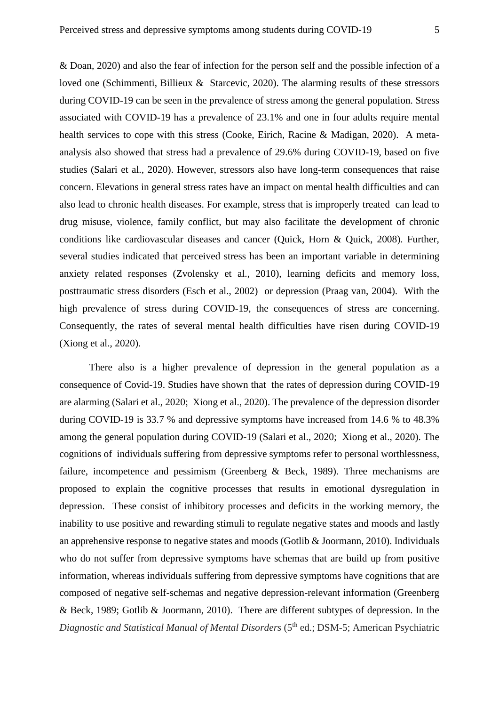& Doan, 2020) and also the fear of infection for the person self and the possible infection of a loved one (Schimmenti, Billieux & Starcevic, 2020). The alarming results of these stressors during COVID-19 can be seen in the prevalence of stress among the general population. Stress associated with COVID-19 has a prevalence of 23.1% and one in four adults require mental health services to cope with this stress (Cooke, Eirich, Racine & Madigan, 2020). A metaanalysis also showed that stress had a prevalence of 29.6% during COVID-19, based on five studies (Salari et al., 2020). However, stressors also have long-term consequences that raise concern. Elevations in general stress rates have an impact on mental health difficulties and can also lead to chronic health diseases. For example, stress that is improperly treated can lead to drug misuse, violence, family conflict, but may also facilitate the development of chronic conditions like cardiovascular diseases and cancer (Quick, Horn & Quick, 2008). Further, several studies indicated that perceived stress has been an important variable in determining anxiety related responses (Zvolensky et al., 2010), learning deficits and memory loss, posttraumatic stress disorders (Esch et al., 2002) or depression (Praag van, 2004). With the high prevalence of stress during COVID-19, the consequences of stress are concerning. Consequently, the rates of several mental health difficulties have risen during COVID-19 (Xiong et al., 2020).

There also is a higher prevalence of depression in the general population as a consequence of Covid-19. Studies have shown that the rates of depression during COVID-19 are alarming (Salari et al., 2020; Xiong et al., 2020). The prevalence of the depression disorder during COVID-19 is 33.7 % and depressive symptoms have increased from 14.6 % to 48.3% among the general population during COVID-19 (Salari et al., 2020; Xiong et al., 2020). The cognitions of individuals suffering from depressive symptoms refer to personal worthlessness, failure, incompetence and pessimism (Greenberg & Beck, 1989). Three mechanisms are proposed to explain the cognitive processes that results in emotional dysregulation in depression. These consist of inhibitory processes and deficits in the working memory, the inability to use positive and rewarding stimuli to regulate negative states and moods and lastly an apprehensive response to negative states and moods (Gotlib & Joormann, 2010). Individuals who do not suffer from depressive symptoms have schemas that are build up from positive information, whereas individuals suffering from depressive symptoms have cognitions that are composed of negative self-schemas and negative depression-relevant information (Greenberg & Beck, 1989; Gotlib & Joormann, 2010). There are different subtypes of depression. In the *Diagnostic and Statistical Manual of Mental Disorders* (5<sup>th</sup> ed.; DSM-5; American Psychiatric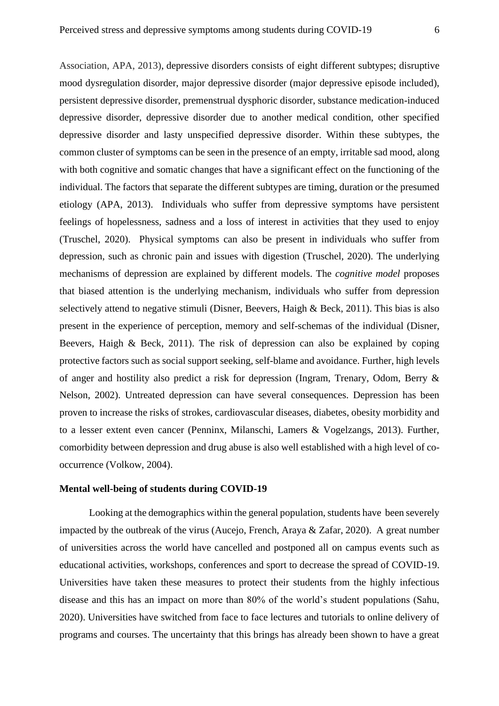Association, APA, 2013), depressive disorders consists of eight different subtypes; disruptive mood dysregulation disorder, major depressive disorder (major depressive episode included), persistent depressive disorder, premenstrual dysphoric disorder, substance medication-induced depressive disorder, depressive disorder due to another medical condition, other specified depressive disorder and lasty unspecified depressive disorder. Within these subtypes, the common cluster of symptoms can be seen in the presence of an empty, irritable sad mood, along with both cognitive and somatic changes that have a significant effect on the functioning of the individual. The factors that separate the different subtypes are timing, duration or the presumed etiology (APA, 2013). Individuals who suffer from depressive symptoms have persistent feelings of hopelessness, sadness and a loss of interest in activities that they used to enjoy (Truschel, 2020). Physical symptoms can also be present in individuals who suffer from depression, such as chronic pain and issues with digestion (Truschel, 2020). The underlying mechanisms of depression are explained by different models. The *cognitive model* proposes that biased attention is the underlying mechanism, individuals who suffer from depression selectively attend to negative stimuli (Disner, Beevers, Haigh & Beck, 2011). This bias is also present in the experience of perception, memory and self-schemas of the individual (Disner, Beevers, Haigh & Beck, 2011). The risk of depression can also be explained by coping protective factors such as social support seeking, self-blame and avoidance. Further, high levels of anger and hostility also predict a risk for depression (Ingram, Trenary, Odom, Berry & Nelson, 2002). Untreated depression can have several consequences. Depression has been proven to increase the risks of strokes, cardiovascular diseases, diabetes, obesity morbidity and to a lesser extent even cancer (Penninx, Milanschi, Lamers & Vogelzangs, 2013). Further, comorbidity between depression and drug abuse is also well established with a high level of cooccurrence (Volkow, 2004).

## **Mental well-being of students during COVID-19**

Looking at the demographics within the general population, students have been severely impacted by the outbreak of the virus (Aucejo, French, Araya & Zafar, 2020). A great number of universities across the world have cancelled and postponed all on campus events such as educational activities, workshops, conferences and sport to decrease the spread of COVID-19. Universities have taken these measures to protect their students from the highly infectious disease and this has an impact on more than 80% of the world's student populations (Sahu, 2020). Universities have switched from face to face lectures and tutorials to online delivery of programs and courses. The uncertainty that this brings has already been shown to have a great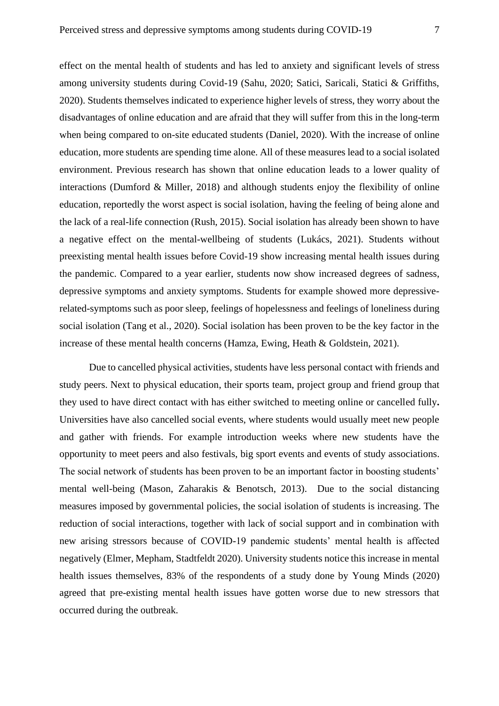effect on the mental health of students and has led to anxiety and significant levels of stress among university students during Covid-19 (Sahu, 2020; Satici, Saricali, Statici & Griffiths, 2020). Students themselves indicated to experience higher levels of stress, they worry about the disadvantages of online education and are afraid that they will suffer from this in the long-term when being compared to on-site educated students (Daniel, 2020). With the increase of online education, more students are spending time alone. All of these measures lead to a social isolated environment. Previous research has shown that online education leads to a lower quality of interactions (Dumford & Miller, 2018) and although students enjoy the flexibility of online education, reportedly the worst aspect is social isolation, having the feeling of being alone and the lack of a real-life connection (Rush, 2015). Social isolation has already been shown to have a negative effect on the mental-wellbeing of students (Lukács, 2021). Students without preexisting mental health issues before Covid-19 show increasing mental health issues during the pandemic. Compared to a year earlier, students now show increased degrees of sadness, depressive symptoms and anxiety symptoms. Students for example showed more depressiverelated-symptoms such as poor sleep, feelings of hopelessness and feelings of loneliness during social isolation (Tang et al., 2020). Social isolation has been proven to be the key factor in the increase of these mental health concerns (Hamza, Ewing, Heath & Goldstein, 2021).

Due to cancelled physical activities, students have less personal contact with friends and study peers. Next to physical education, their sports team, project group and friend group that they used to have direct contact with has either switched to meeting online or cancelled fully**.**  Universities have also cancelled social events, where students would usually meet new people and gather with friends. For example introduction weeks where new students have the opportunity to meet peers and also festivals, big sport events and events of study associations. The social network of students has been proven to be an important factor in boosting students' mental well-being (Mason, Zaharakis & Benotsch, 2013). Due to the social distancing measures imposed by governmental policies, the social isolation of students is increasing. The reduction of social interactions, together with lack of social support and in combination with new arising stressors because of COVID-19 pandemic students' mental health is affected negatively (Elmer, Mepham, Stadtfeldt 2020). University students notice this increase in mental health issues themselves, 83% of the respondents of a study done by Young Minds (2020) agreed that pre-existing mental health issues have gotten worse due to new stressors that occurred during the outbreak.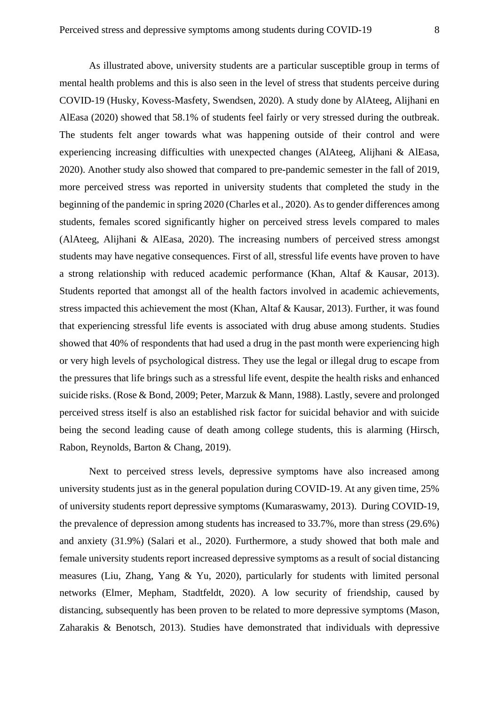As illustrated above, university students are a particular susceptible group in terms of mental health problems and this is also seen in the level of stress that students perceive during COVID-19 (Husky, Kovess-Masfety, Swendsen, 2020). A study done by AlAteeg, Alijhani en AlEasa (2020) showed that 58.1% of students feel fairly or very stressed during the outbreak. The students felt anger towards what was happening outside of their control and were experiencing increasing difficulties with unexpected changes (AlAteeg, Alijhani & AlEasa, 2020). Another study also showed that compared to pre-pandemic semester in the fall of 2019, more perceived stress was reported in university students that completed the study in the beginning of the pandemic in spring 2020 (Charles et al., 2020). As to gender differences among students, females scored significantly higher on perceived stress levels compared to males (AlAteeg, Alijhani & AlEasa, 2020). The increasing numbers of perceived stress amongst students may have negative consequences. First of all, stressful life events have proven to have a strong relationship with reduced academic performance (Khan, Altaf & Kausar, 2013). Students reported that amongst all of the health factors involved in academic achievements, stress impacted this achievement the most (Khan, Altaf & Kausar, 2013). Further, it was found that experiencing stressful life events is associated with drug abuse among students. Studies showed that 40% of respondents that had used a drug in the past month were experiencing high or very high levels of psychological distress. They use the legal or illegal drug to escape from the pressures that life brings such as a stressful life event, despite the health risks and enhanced suicide risks. (Rose & Bond, 2009; Peter, Marzuk & Mann, 1988). Lastly, severe and prolonged perceived stress itself is also an established risk factor for suicidal behavior and with suicide being the second leading cause of death among college students, this is alarming (Hirsch, Rabon, Reynolds, Barton & Chang, 2019).

Next to perceived stress levels, depressive symptoms have also increased among university students just as in the general population during COVID-19. At any given time, 25% of university students report depressive symptoms (Kumaraswamy, 2013). During COVID-19, the prevalence of depression among students has increased to 33.7%, more than stress (29.6%) and anxiety (31.9%) (Salari et al., 2020). Furthermore, a study showed that both male and female university students report increased depressive symptoms as a result of social distancing measures (Liu, Zhang, Yang & Yu, 2020), particularly for students with limited personal networks (Elmer, Mepham, Stadtfeldt, 2020). A low security of friendship, caused by distancing, subsequently has been proven to be related to more depressive symptoms (Mason, Zaharakis & Benotsch, 2013). Studies have demonstrated that individuals with depressive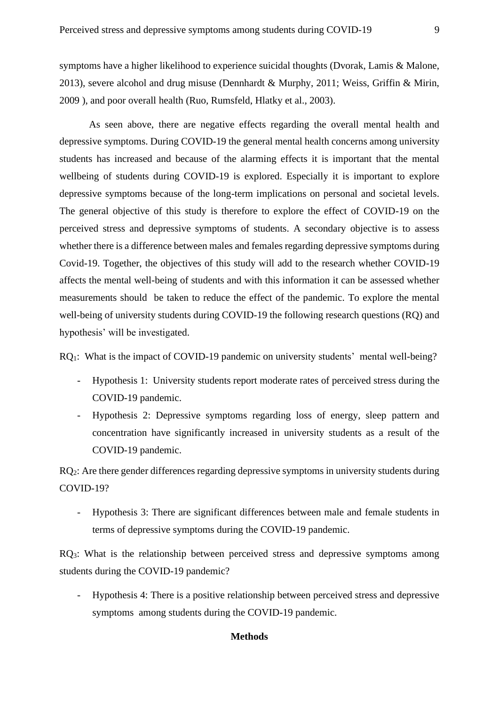symptoms have a higher likelihood to experience suicidal thoughts (Dvorak, Lamis & Malone, 2013), severe alcohol and drug misuse (Dennhardt & Murphy, 2011; Weiss, Griffin & Mirin, 2009 ), and poor overall health (Ruo, Rumsfeld, Hlatky et al., 2003).

As seen above, there are negative effects regarding the overall mental health and depressive symptoms. During COVID-19 the general mental health concerns among university students has increased and because of the alarming effects it is important that the mental wellbeing of students during COVID-19 is explored. Especially it is important to explore depressive symptoms because of the long-term implications on personal and societal levels. The general objective of this study is therefore to explore the effect of COVID-19 on the perceived stress and depressive symptoms of students. A secondary objective is to assess whether there is a difference between males and females regarding depressive symptoms during Covid-19. Together, the objectives of this study will add to the research whether COVID-19 affects the mental well-being of students and with this information it can be assessed whether measurements should be taken to reduce the effect of the pandemic. To explore the mental well-being of university students during COVID-19 the following research questions (RQ) and hypothesis' will be investigated.

RQ<sub>1</sub>: What is the impact of COVID-19 pandemic on university students' mental well-being?

- Hypothesis 1: University students report moderate rates of perceived stress during the COVID-19 pandemic.
- Hypothesis 2: Depressive symptoms regarding loss of energy, sleep pattern and concentration have significantly increased in university students as a result of the COVID-19 pandemic.

RQ<sub>2</sub>: Are there gender differences regarding depressive symptoms in university students during COVID-19?

- Hypothesis 3: There are significant differences between male and female students in terms of depressive symptoms during the COVID-19 pandemic.

RQ3: What is the relationship between perceived stress and depressive symptoms among students during the COVID-19 pandemic?

<span id="page-8-0"></span>- Hypothesis 4: There is a positive relationship between perceived stress and depressive symptoms among students during the COVID-19 pandemic.

## **Methods**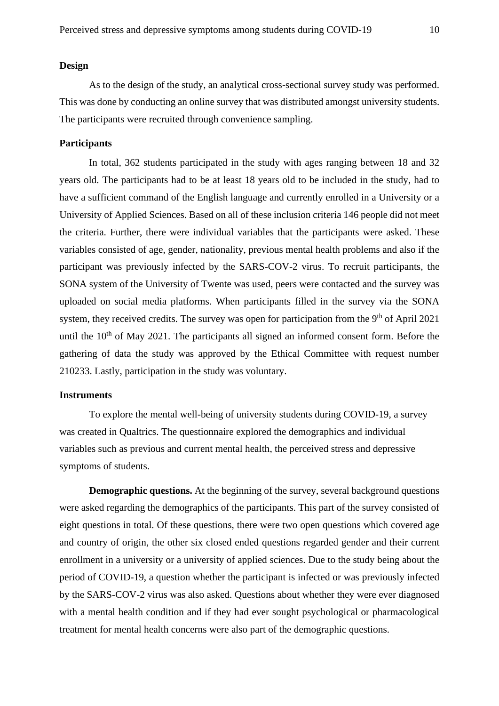## <span id="page-9-0"></span>**Design**

As to the design of the study, an analytical cross-sectional survey study was performed. This was done by conducting an online survey that was distributed amongst university students. The participants were recruited through convenience sampling.

## <span id="page-9-1"></span>**Participants**

In total, 362 students participated in the study with ages ranging between 18 and 32 years old. The participants had to be at least 18 years old to be included in the study, had to have a sufficient command of the English language and currently enrolled in a University or a University of Applied Sciences. Based on all of these inclusion criteria 146 people did not meet the criteria. Further, there were individual variables that the participants were asked. These variables consisted of age, gender, nationality, previous mental health problems and also if the participant was previously infected by the SARS-COV-2 virus. To recruit participants, the SONA system of the University of Twente was used, peers were contacted and the survey was uploaded on social media platforms. When participants filled in the survey via the SONA system, they received credits. The survey was open for participation from the  $9<sup>th</sup>$  of April 2021 until the  $10<sup>th</sup>$  of May 2021. The participants all signed an informed consent form. Before the gathering of data the study was approved by the Ethical Committee with request number 210233. Lastly, participation in the study was voluntary.

## <span id="page-9-2"></span>**Instruments**

To explore the mental well-being of university students during COVID-19, a survey was created in Qualtrics. The questionnaire explored the demographics and individual variables such as previous and current mental health, the perceived stress and depressive symptoms of students.

**Demographic questions.** At the beginning of the survey, several background questions were asked regarding the demographics of the participants. This part of the survey consisted of eight questions in total. Of these questions, there were two open questions which covered age and country of origin, the other six closed ended questions regarded gender and their current enrollment in a university or a university of applied sciences. Due to the study being about the period of COVID-19, a question whether the participant is infected or was previously infected by the SARS-COV-2 virus was also asked. Questions about whether they were ever diagnosed with a mental health condition and if they had ever sought psychological or pharmacological treatment for mental health concerns were also part of the demographic questions.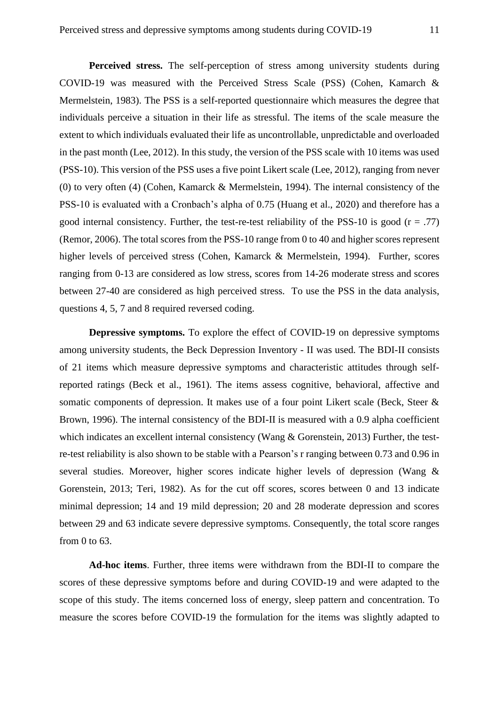**Perceived stress.** The self-perception of stress among university students during COVID-19 was measured with the Perceived Stress Scale (PSS) (Cohen, Kamarch & Mermelstein, 1983). The PSS is a self-reported questionnaire which measures the degree that individuals perceive a situation in their life as stressful. The items of the scale measure the extent to which individuals evaluated their life as uncontrollable, unpredictable and overloaded in the past month (Lee, 2012). In this study, the version of the PSS scale with 10 items was used (PSS-10). This version of the PSS uses a five point Likert scale (Lee, 2012), ranging from never (0) to very often (4) (Cohen, Kamarck & Mermelstein, 1994). The internal consistency of the PSS-10 is evaluated with a Cronbach's alpha of 0.75 (Huang et al., 2020) and therefore has a good internal consistency. Further, the test-re-test reliability of the PSS-10 is good  $(r = .77)$ (Remor, 2006). The total scores from the PSS-10 range from 0 to 40 and higher scores represent higher levels of perceived stress (Cohen, Kamarck & Mermelstein, 1994). Further, scores ranging from 0-13 are considered as low stress, scores from 14-26 moderate stress and scores between 27-40 are considered as high perceived stress. To use the PSS in the data analysis, questions 4, 5, 7 and 8 required reversed coding.

**Depressive symptoms.** To explore the effect of COVID-19 on depressive symptoms among university students, the Beck Depression Inventory - II was used. The BDI-II consists of 21 items which measure depressive symptoms and characteristic attitudes through selfreported ratings (Beck et al., 1961). The items assess cognitive, behavioral, affective and somatic components of depression. It makes use of a four point Likert scale (Beck, Steer & Brown, 1996). The internal consistency of the BDI-II is measured with a 0.9 alpha coefficient which indicates an excellent internal consistency (Wang & Gorenstein, 2013) Further, the testre-test reliability is also shown to be stable with a Pearson's r ranging between 0.73 and 0.96 in several studies. Moreover, higher scores indicate higher levels of depression (Wang & Gorenstein, 2013; Teri, 1982). As for the cut off scores, scores between 0 and 13 indicate minimal depression; 14 and 19 mild depression; 20 and 28 moderate depression and scores between 29 and 63 indicate severe depressive symptoms. Consequently, the total score ranges from 0 to 63.

**Ad-hoc items**. Further, three items were withdrawn from the BDI-II to compare the scores of these depressive symptoms before and during COVID-19 and were adapted to the scope of this study. The items concerned loss of energy, sleep pattern and concentration. To measure the scores before COVID-19 the formulation for the items was slightly adapted to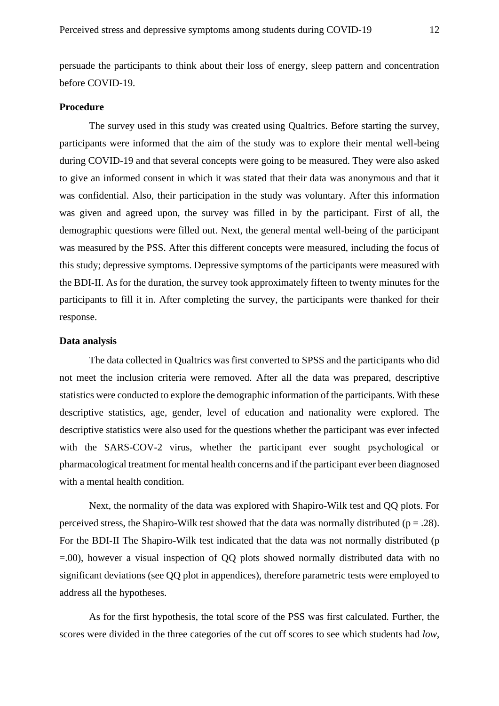persuade the participants to think about their loss of energy, sleep pattern and concentration before COVID-19.

## <span id="page-11-0"></span>**Procedure**

The survey used in this study was created using Qualtrics. Before starting the survey, participants were informed that the aim of the study was to explore their mental well-being during COVID-19 and that several concepts were going to be measured. They were also asked to give an informed consent in which it was stated that their data was anonymous and that it was confidential. Also, their participation in the study was voluntary. After this information was given and agreed upon, the survey was filled in by the participant. First of all, the demographic questions were filled out. Next, the general mental well-being of the participant was measured by the PSS. After this different concepts were measured, including the focus of this study; depressive symptoms. Depressive symptoms of the participants were measured with the BDI-II. As for the duration, the survey took approximately fifteen to twenty minutes for the participants to fill it in. After completing the survey, the participants were thanked for their response.

## <span id="page-11-1"></span>**Data analysis**

The data collected in Qualtrics was first converted to SPSS and the participants who did not meet the inclusion criteria were removed. After all the data was prepared, descriptive statistics were conducted to explore the demographic information of the participants. With these descriptive statistics, age, gender, level of education and nationality were explored. The descriptive statistics were also used for the questions whether the participant was ever infected with the SARS-COV-2 virus, whether the participant ever sought psychological or pharmacological treatment for mental health concerns and if the participant ever been diagnosed with a mental health condition.

Next, the normality of the data was explored with Shapiro-Wilk test and QQ plots. For perceived stress, the Shapiro-Wilk test showed that the data was normally distributed ( $p = .28$ ). For the BDI-II The Shapiro-Wilk test indicated that the data was not normally distributed (p =.00), however a visual inspection of QQ plots showed normally distributed data with no significant deviations (see QQ plot in appendices), therefore parametric tests were employed to address all the hypotheses.

As for the first hypothesis, the total score of the PSS was first calculated. Further, the scores were divided in the three categories of the cut off scores to see which students had *low*,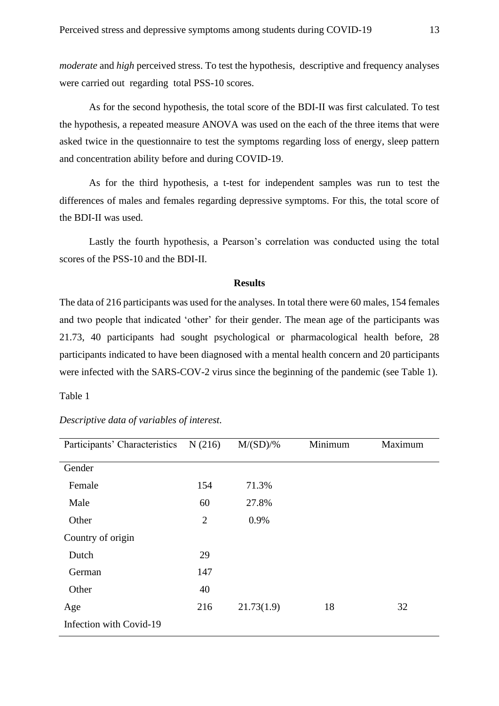*moderate* and *high* perceived stress. To test the hypothesis, descriptive and frequency analyses were carried out regarding total PSS-10 scores.

As for the second hypothesis, the total score of the BDI-II was first calculated. To test the hypothesis, a repeated measure ANOVA was used on the each of the three items that were asked twice in the questionnaire to test the symptoms regarding loss of energy, sleep pattern and concentration ability before and during COVID-19.

As for the third hypothesis, a t-test for independent samples was run to test the differences of males and females regarding depressive symptoms. For this, the total score of the BDI-II was used.

Lastly the fourth hypothesis, a Pearson's correlation was conducted using the total scores of the PSS-10 and the BDI-II.

#### **Results**

<span id="page-12-0"></span>The data of 216 participants was used for the analyses. In total there were 60 males, 154 females and two people that indicated 'other' for their gender. The mean age of the participants was 21.73, 40 participants had sought psychological or pharmacological health before, 28 participants indicated to have been diagnosed with a mental health concern and 20 participants were infected with the SARS-COV-2 virus since the beginning of the pandemic (see Table 1).

Table 1

| Participants' Characteristics | N(216)         | $M/(SD)/\%$ | Minimum | Maximum |
|-------------------------------|----------------|-------------|---------|---------|
| Gender                        |                |             |         |         |
| Female                        | 154            | 71.3%       |         |         |
| Male                          | 60             | 27.8%       |         |         |
| Other                         | $\overline{2}$ | 0.9%        |         |         |
| Country of origin             |                |             |         |         |
| Dutch                         | 29             |             |         |         |
| German                        | 147            |             |         |         |
| Other                         | 40             |             |         |         |
| Age                           | 216            | 21.73(1.9)  | 18      | 32      |
| Infection with Covid-19       |                |             |         |         |

*Descriptive data of variables of interest.*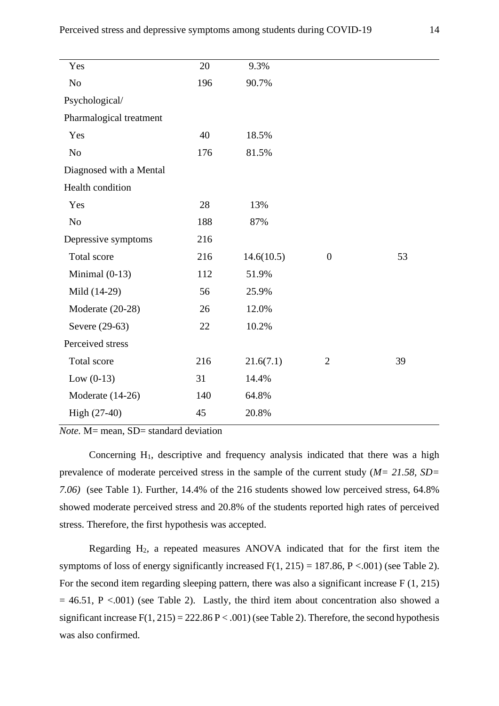| 20  | 9.3%       |                  |    |
|-----|------------|------------------|----|
| 196 | 90.7%      |                  |    |
|     |            |                  |    |
|     |            |                  |    |
| 40  | 18.5%      |                  |    |
| 176 | 81.5%      |                  |    |
|     |            |                  |    |
|     |            |                  |    |
| 28  | 13%        |                  |    |
| 188 | 87%        |                  |    |
| 216 |            |                  |    |
| 216 | 14.6(10.5) | $\boldsymbol{0}$ | 53 |
| 112 | 51.9%      |                  |    |
| 56  | 25.9%      |                  |    |
| 26  | 12.0%      |                  |    |
| 22  | 10.2%      |                  |    |
|     |            |                  |    |
| 216 | 21.6(7.1)  | $\overline{2}$   | 39 |
| 31  | 14.4%      |                  |    |
| 140 | 64.8%      |                  |    |
| 45  | 20.8%      |                  |    |
|     |            |                  |    |

*Note.* M= mean, SD= standard deviation

Concerning  $H_1$ , descriptive and frequency analysis indicated that there was a high prevalence of moderate perceived stress in the sample of the current study (*M= 21.58, SD= 7.06)* (see Table 1). Further, 14.4% of the 216 students showed low perceived stress, 64.8% showed moderate perceived stress and 20.8% of the students reported high rates of perceived stress. Therefore, the first hypothesis was accepted.

Regarding H2, a repeated measures ANOVA indicated that for the first item the symptoms of loss of energy significantly increased  $F(1, 215) = 187.86$ ,  $P < .001$ ) (see Table 2). For the second item regarding sleeping pattern, there was also a significant increase F (1, 215)  $= 46.51$ , P <.001) (see Table 2). Lastly, the third item about concentration also showed a significant increase  $F(1, 215) = 222.86 P < .001$ ) (see Table 2). Therefore, the second hypothesis was also confirmed.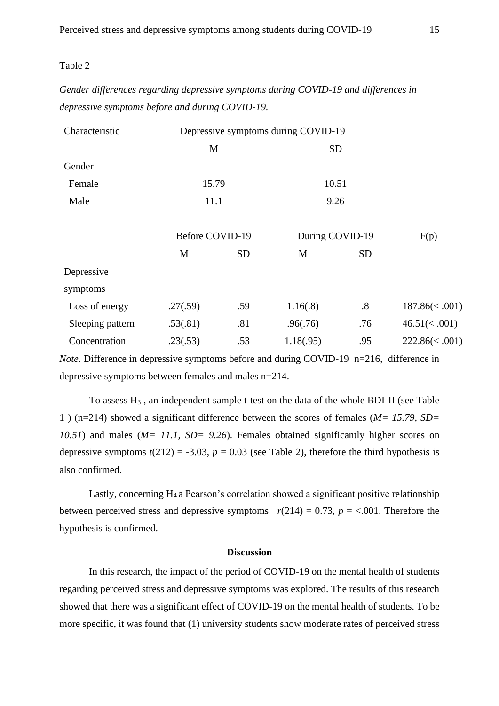## Table 2

# *Gender differences regarding depressive symptoms during COVID-19 and differences in depressive symptoms before and during COVID-19.*

| Characteristic   | Depressive symptoms during COVID-19 |           |                 |                   |                      |
|------------------|-------------------------------------|-----------|-----------------|-------------------|----------------------|
|                  | M                                   |           | <b>SD</b>       |                   |                      |
| Gender           |                                     |           |                 |                   |                      |
| Female           | 15.79                               |           | 10.51           |                   |                      |
| Male             | 11.1                                |           | 9.26            |                   |                      |
|                  |                                     |           |                 |                   |                      |
|                  | <b>Before COVID-19</b>              |           | During COVID-19 |                   | F(p)                 |
|                  | M                                   | <b>SD</b> | M               | <b>SD</b>         |                      |
| Depressive       |                                     |           |                 |                   |                      |
| symptoms         |                                     |           |                 |                   |                      |
| Loss of energy   | .27(.59)                            | .59       | 1.16(0.8)       | $\boldsymbol{.8}$ | $187.86 \times .001$ |
| Sleeping pattern | .53(.81)                            | .81       | .96(.76)        | .76               | 46.51(<.001)         |
| Concentration    | .23(.53)                            | .53       | 1.18(.95)       | .95               | $222.86 \times .001$ |

*Note*. Difference in depressive symptoms before and during COVID-19 n=216, difference in depressive symptoms between females and males n=214.

To assess H<sup>3</sup> , an independent sample t-test on the data of the whole BDI-II (see Table 1 ) (n=214) showed a significant difference between the scores of females (*M= 15.79, SD= 10.51*) and males (*M= 11.1, SD= 9.26*). Females obtained significantly higher scores on depressive symptoms  $t(212) = -3.03$ ,  $p = 0.03$  (see Table 2), therefore the third hypothesis is also confirmed.

Lastly, concerning H4 a Pearson's correlation showed a significant positive relationship between perceived stress and depressive symptoms  $r(214) = 0.73$ ,  $p = <.001$ . Therefore the hypothesis is confirmed.

## **Discussion**

<span id="page-14-0"></span>In this research, the impact of the period of COVID-19 on the mental health of students regarding perceived stress and depressive symptoms was explored. The results of this research showed that there was a significant effect of COVID-19 on the mental health of students. To be more specific, it was found that (1) university students show moderate rates of perceived stress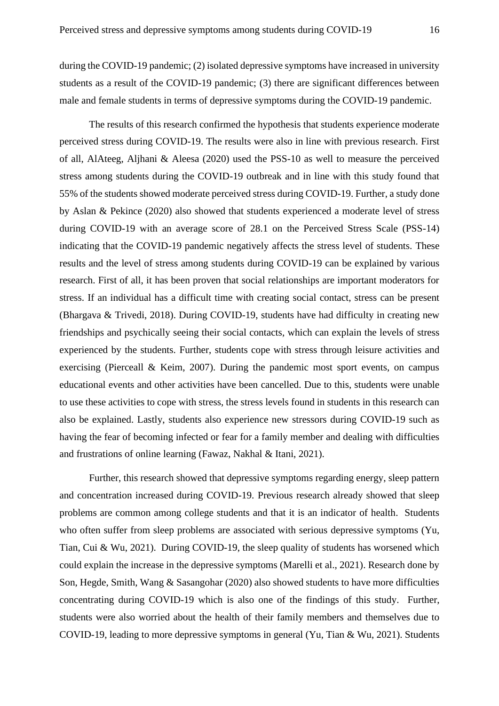during the COVID-19 pandemic; (2) isolated depressive symptoms have increased in university students as a result of the COVID-19 pandemic; (3) there are significant differences between male and female students in terms of depressive symptoms during the COVID-19 pandemic.

The results of this research confirmed the hypothesis that students experience moderate perceived stress during COVID-19. The results were also in line with previous research. First of all, AlAteeg, Aljhani & Aleesa (2020) used the PSS-10 as well to measure the perceived stress among students during the COVID-19 outbreak and in line with this study found that 55% of the students showed moderate perceived stress during COVID-19. Further, a study done by Aslan & Pekince (2020) also showed that students experienced a moderate level of stress during COVID-19 with an average score of 28.1 on the Perceived Stress Scale (PSS-14) indicating that the COVID-19 pandemic negatively affects the stress level of students. These results and the level of stress among students during COVID-19 can be explained by various research. First of all, it has been proven that social relationships are important moderators for stress. If an individual has a difficult time with creating social contact, stress can be present (Bhargava & Trivedi, 2018). During COVID-19, students have had difficulty in creating new friendships and psychically seeing their social contacts, which can explain the levels of stress experienced by the students. Further, students cope with stress through leisure activities and exercising (Pierceall & Keim, 2007). During the pandemic most sport events, on campus educational events and other activities have been cancelled. Due to this, students were unable to use these activities to cope with stress, the stress levels found in students in this research can also be explained. Lastly, students also experience new stressors during COVID-19 such as having the fear of becoming infected or fear for a family member and dealing with difficulties and frustrations of online learning (Fawaz, Nakhal & Itani, 2021).

Further, this research showed that depressive symptoms regarding energy, sleep pattern and concentration increased during COVID-19. Previous research already showed that sleep problems are common among college students and that it is an indicator of health. Students who often suffer from sleep problems are associated with serious depressive symptoms (Yu, Tian, Cui & Wu, 2021). During COVID-19, the sleep quality of students has worsened which could explain the increase in the depressive symptoms (Marelli et al., 2021). Research done by Son, Hegde, Smith, Wang & Sasangohar (2020) also showed students to have more difficulties concentrating during COVID-19 which is also one of the findings of this study. Further, students were also worried about the health of their family members and themselves due to COVID-19, leading to more depressive symptoms in general (Yu, Tian & Wu, 2021). Students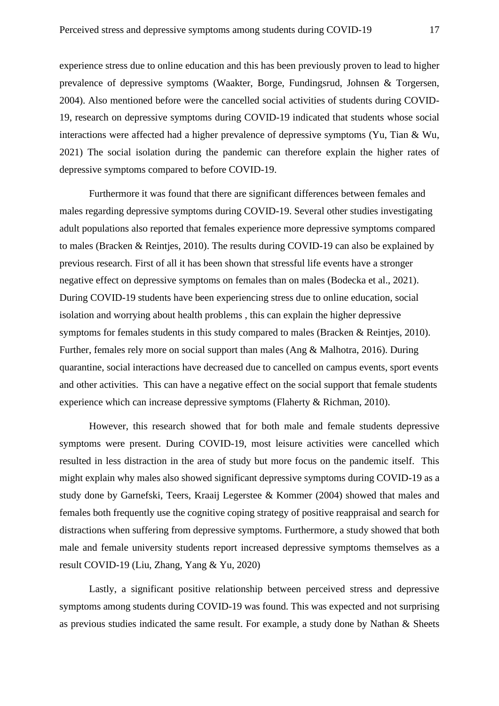experience stress due to online education and this has been previously proven to lead to higher prevalence of depressive symptoms (Waakter, Borge, Fundingsrud, Johnsen & Torgersen, 2004). Also mentioned before were the cancelled social activities of students during COVID-19, research on depressive symptoms during COVID-19 indicated that students whose social interactions were affected had a higher prevalence of depressive symptoms (Yu, Tian & Wu, 2021) The social isolation during the pandemic can therefore explain the higher rates of depressive symptoms compared to before COVID-19.

Furthermore it was found that there are significant differences between females and males regarding depressive symptoms during COVID-19. Several other studies investigating adult populations also reported that females experience more depressive symptoms compared to males (Bracken & Reintjes, 2010). The results during COVID-19 can also be explained by previous research. First of all it has been shown that stressful life events have a stronger negative effect on depressive symptoms on females than on males (Bodecka et al., 2021). During COVID-19 students have been experiencing stress due to online education, social isolation and worrying about health problems , this can explain the higher depressive symptoms for females students in this study compared to males (Bracken & Reintjes, 2010). Further, females rely more on social support than males (Ang & Malhotra, 2016). During quarantine, social interactions have decreased due to cancelled on campus events, sport events and other activities. This can have a negative effect on the social support that female students experience which can increase depressive symptoms (Flaherty & Richman, 2010).

However, this research showed that for both male and female students depressive symptoms were present. During COVID-19, most leisure activities were cancelled which resulted in less distraction in the area of study but more focus on the pandemic itself. This might explain why males also showed significant depressive symptoms during COVID-19 as a study done by Garnefski, Teers, Kraaij Legerstee & Kommer (2004) showed that males and females both frequently use the cognitive coping strategy of positive reappraisal and search for distractions when suffering from depressive symptoms. Furthermore, a study showed that both male and female university students report increased depressive symptoms themselves as a result COVID-19 (Liu, Zhang, Yang & Yu, 2020)

Lastly, a significant positive relationship between perceived stress and depressive symptoms among students during COVID-19 was found. This was expected and not surprising as previous studies indicated the same result. For example, a study done by Nathan & Sheets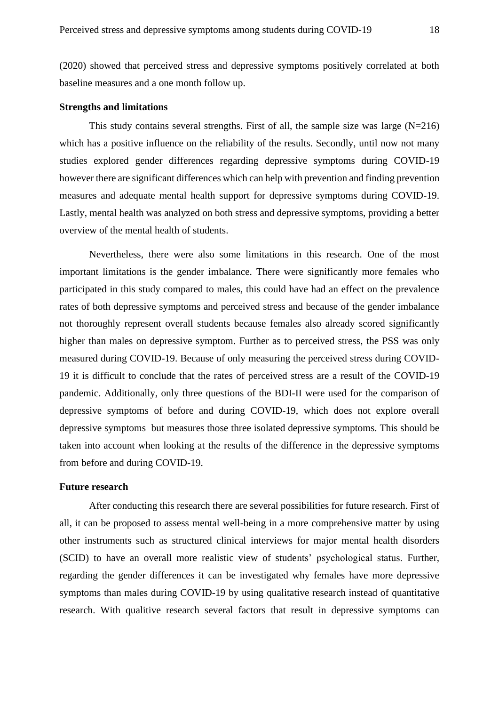(2020) showed that perceived stress and depressive symptoms positively correlated at both baseline measures and a one month follow up.

## <span id="page-17-0"></span>**Strengths and limitations**

This study contains several strengths. First of all, the sample size was large  $(N=216)$ which has a positive influence on the reliability of the results. Secondly, until now not many studies explored gender differences regarding depressive symptoms during COVID-19 however there are significant differences which can help with prevention and finding prevention measures and adequate mental health support for depressive symptoms during COVID-19. Lastly, mental health was analyzed on both stress and depressive symptoms, providing a better overview of the mental health of students.

Nevertheless, there were also some limitations in this research. One of the most important limitations is the gender imbalance. There were significantly more females who participated in this study compared to males, this could have had an effect on the prevalence rates of both depressive symptoms and perceived stress and because of the gender imbalance not thoroughly represent overall students because females also already scored significantly higher than males on depressive symptom. Further as to perceived stress, the PSS was only measured during COVID-19. Because of only measuring the perceived stress during COVID-19 it is difficult to conclude that the rates of perceived stress are a result of the COVID-19 pandemic. Additionally, only three questions of the BDI-II were used for the comparison of depressive symptoms of before and during COVID-19, which does not explore overall depressive symptoms but measures those three isolated depressive symptoms. This should be taken into account when looking at the results of the difference in the depressive symptoms from before and during COVID-19.

## <span id="page-17-1"></span>**Future research**

After conducting this research there are several possibilities for future research. First of all, it can be proposed to assess mental well-being in a more comprehensive matter by using other instruments such as structured clinical interviews for major mental health disorders (SCID) to have an overall more realistic view of students' psychological status. Further, regarding the gender differences it can be investigated why females have more depressive symptoms than males during COVID-19 by using qualitative research instead of quantitative research. With qualitive research several factors that result in depressive symptoms can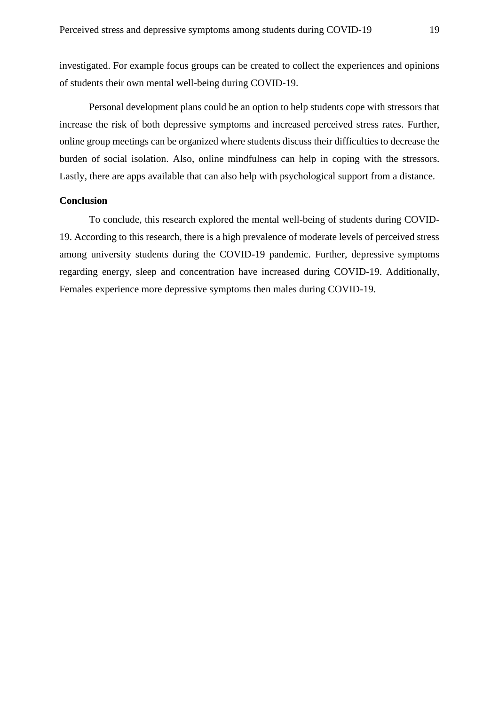investigated. For example focus groups can be created to collect the experiences and opinions of students their own mental well-being during COVID-19.

Personal development plans could be an option to help students cope with stressors that increase the risk of both depressive symptoms and increased perceived stress rates. Further, online group meetings can be organized where students discuss their difficulties to decrease the burden of social isolation. Also, online mindfulness can help in coping with the stressors. Lastly, there are apps available that can also help with psychological support from a distance.

## <span id="page-18-0"></span>**Conclusion**

To conclude, this research explored the mental well-being of students during COVID-19. According to this research, there is a high prevalence of moderate levels of perceived stress among university students during the COVID-19 pandemic. Further, depressive symptoms regarding energy, sleep and concentration have increased during COVID-19. Additionally, Females experience more depressive symptoms then males during COVID-19.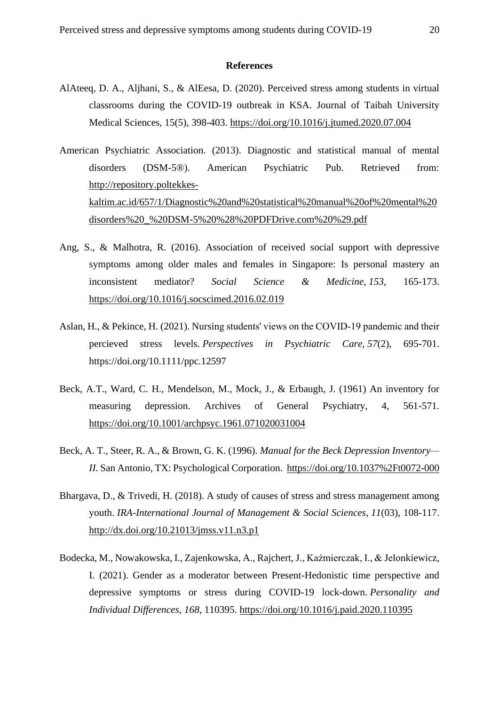#### **References**

- <span id="page-19-0"></span>AlAteeq, D. A., Aljhani, S., & AlEesa, D. (2020). Perceived stress among students in virtual classrooms during the COVID-19 outbreak in KSA. Journal of Taibah University Medical Sciences, 15(5), 398-403. <https://doi.org/10.1016/j.jtumed.2020.07.004>
- American Psychiatric Association. (2013). Diagnostic and statistical manual of mental disorders (DSM-5®). American Psychiatric Pub. Retrieved from: [http://repository.poltekkes](http://repository.poltekkes-kaltim.ac.id/657/1/Diagnostic%20and%20statistical%20manual%20of%20mental%20disorders%20_%20DSM-5%20%28%20PDFDrive.com%20%29.pdf)[kaltim.ac.id/657/1/Diagnostic%20and%20statistical%20manual%20of%20mental%20](http://repository.poltekkes-kaltim.ac.id/657/1/Diagnostic%20and%20statistical%20manual%20of%20mental%20disorders%20_%20DSM-5%20%28%20PDFDrive.com%20%29.pdf) [disorders%20\\_%20DSM-5%20%28%20PDFDrive.com%20%29.pdf](http://repository.poltekkes-kaltim.ac.id/657/1/Diagnostic%20and%20statistical%20manual%20of%20mental%20disorders%20_%20DSM-5%20%28%20PDFDrive.com%20%29.pdf)
- Ang, S., & Malhotra, R. (2016). Association of received social support with depressive symptoms among older males and females in Singapore: Is personal mastery an inconsistent mediator? *Social Science & Medicine*, *153*, 165-173. <https://doi.org/10.1016/j.socscimed.2016.02.019>
- Aslan, H., & Pekince, H. (2021). Nursing students' views on the COVID‐19 pandemic and their percieved stress levels. *Perspectives in Psychiatric Care*, *57*(2), 695-701. https://doi.org/10.1111/ppc.12597
- Beck, A.T., Ward, C. H., Mendelson, M., Mock, J., & Erbaugh, J. (1961) An inventory for measuring depression. Archives of General Psychiatry, 4, 561-571. <https://doi.org/10.1001/archpsyc.1961.071020031004>
- Beck, A. T., Steer, R. A., & Brown, G. K. (1996). *Manual for the Beck Depression Inventory— II*. San Antonio, TX: Psychological Corporation.<https://doi.org/10.1037%2Ft0072-000>
- Bhargava, D., & Trivedi, H. (2018). A study of causes of stress and stress management among youth. *IRA-International Journal of Management & Social Sciences*, *11*(03), 108-117. <http://dx.doi.org/10.21013/jmss.v11.n3.p1>
- Bodecka, M., Nowakowska, I., Zajenkowska, A., Rajchert, J., Kaźmierczak, I., & Jelonkiewicz, I. (2021). Gender as a moderator between Present-Hedonistic time perspective and depressive symptoms or stress during COVID-19 lock-down. *Personality and Individual Differences*, *168*, 110395. <https://doi.org/10.1016/j.paid.2020.110395>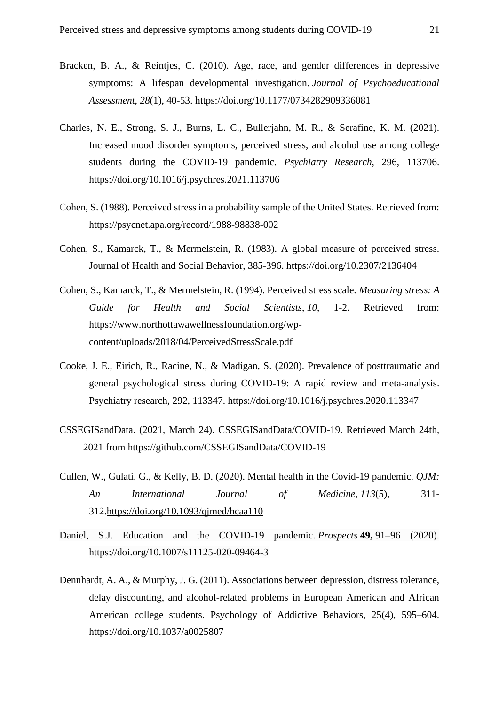- Bracken, B. A., & Reintjes, C. (2010). Age, race, and gender differences in depressive symptoms: A lifespan developmental investigation. *Journal of Psychoeducational Assessment*, *28*(1), 40-53. https://doi.org/10.1177/0734282909336081
- Charles, N. E., Strong, S. J., Burns, L. C., Bullerjahn, M. R., & Serafine, K. M. (2021). Increased mood disorder symptoms, perceived stress, and alcohol use among college students during the COVID-19 pandemic. *Psychiatry Research*, 296, 113706. https://doi.org/10.1016/j.psychres.2021.113706
- Cohen, S. (1988). Perceived stress in a probability sample of the United States. Retrieved from: https://psycnet.apa.org/record/1988-98838-002
- Cohen, S., Kamarck, T., & Mermelstein, R. (1983). A global measure of perceived stress. Journal of Health and Social Behavior, 385-396. https://doi.org/10.2307/2136404
- Cohen, S., Kamarck, T., & Mermelstein, R. (1994). Perceived stress scale. *Measuring stress: A Guide for Health and Social Scientists*, *10*, 1-2. Retrieved from: https://www.northottawawellnessfoundation.org/wpcontent/uploads/2018/04/PerceivedStressScale.pdf
- Cooke, J. E., Eirich, R., Racine, N., & Madigan, S. (2020). Prevalence of posttraumatic and general psychological stress during COVID-19: A rapid review and meta-analysis. Psychiatry research, 292, 113347. https://doi.org/10.1016/j.psychres.2020.113347
- CSSEGISandData. (2021, March 24). CSSEGISandData/COVID-19. Retrieved March 24th, 2021 from <https://github.com/CSSEGISandData/COVID-19>
- Cullen, W., Gulati, G., & Kelly, B. D. (2020). Mental health in the Covid-19 pandemic. *QJM: An International Journal of Medicine*, *113*(5), 311- 312[.https://doi.org/10.1093/qjmed/hcaa110](https://doi.org/10.1093/qjmed/hcaa110)
- Daniel, S.J. Education and the COVID-19 pandemic. *Prospects* **49,** 91–96 (2020). <https://doi.org/10.1007/s11125-020-09464-3>
- Dennhardt, A. A., & Murphy, J. G. (2011). Associations between depression, distress tolerance, delay discounting, and alcohol-related problems in European American and African American college students. Psychology of Addictive Behaviors, 25(4), 595–604. <https://doi.org/10.1037/a0025807>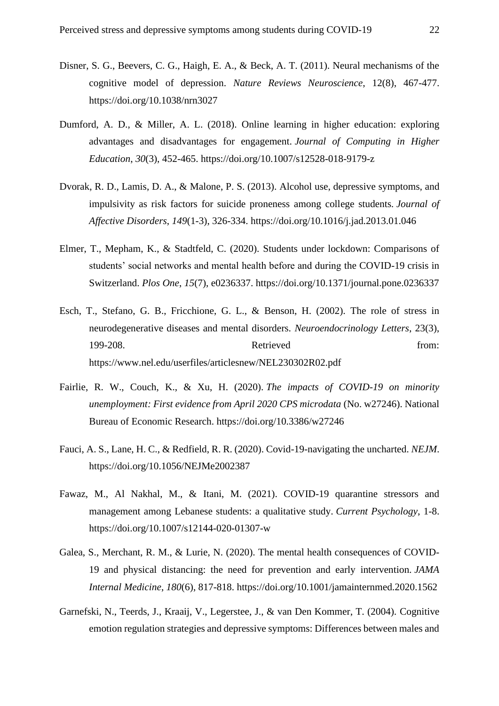- Disner, S. G., Beevers, C. G., Haigh, E. A., & Beck, A. T. (2011). Neural mechanisms of the cognitive model of depression. *Nature Reviews Neuroscience*, 12(8), 467-477. https://doi.org/10.1038/nrn3027
- Dumford, A. D., & Miller, A. L. (2018). Online learning in higher education: exploring advantages and disadvantages for engagement. *Journal of Computing in Higher Education*, *30*(3), 452-465. <https://doi.org/10.1007/s12528-018-9179-z>
- Dvorak, R. D., Lamis, D. A., & Malone, P. S. (2013). Alcohol use, depressive symptoms, and impulsivity as risk factors for suicide proneness among college students. *Journal of Affective Disorders*, *149*(1-3), 326-334. https://doi.org/10.1016/j.jad.2013.01.046
- Elmer, T., Mepham, K., & Stadtfeld, C. (2020). Students under lockdown: Comparisons of students' social networks and mental health before and during the COVID-19 crisis in Switzerland. *Plos One*, *15*(7), e0236337.<https://doi.org/10.1371/journal.pone.0236337>
- Esch, T., Stefano, G. B., Fricchione, G. L., & Benson, H. (2002). The role of stress in neurodegenerative diseases and mental disorders. *Neuroendocrinology Letters*, 23(3), 199-208. Retrieved from: https://www.nel.edu/userfiles/articlesnew/NEL230302R02.pdf
- Fairlie, R. W., Couch, K., & Xu, H. (2020). *The impacts of COVID-19 on minority unemployment: First evidence from April 2020 CPS microdata* (No. w27246). National Bureau of Economic Research. https://doi.org/10.3386/w27246
- Fauci, A. S., Lane, H. C., & Redfield, R. R. (2020). Covid-19-navigating the uncharted. *NEJM*. https://doi.org/10.1056/NEJMe2002387
- Fawaz, M., Al Nakhal, M., & Itani, M. (2021). COVID-19 quarantine stressors and management among Lebanese students: a qualitative study. *Current Psychology*, 1-8. <https://doi.org/10.1007/s12144-020-01307-w>
- Galea, S., Merchant, R. M., & Lurie, N. (2020). The mental health consequences of COVID-19 and physical distancing: the need for prevention and early intervention. *JAMA Internal Medicine*, *180*(6), 817-818. https://doi.org/10.1001/jamainternmed.2020.1562
- Garnefski, N., Teerds, J., Kraaij, V., Legerstee, J., & van Den Kommer, T. (2004). Cognitive emotion regulation strategies and depressive symptoms: Differences between males and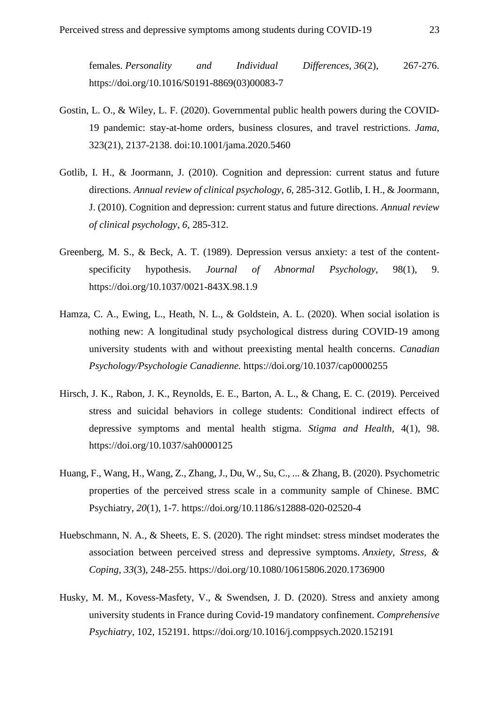females. *Personality and Individual Differences*, *36*(2), 267-276. [https://doi.org/10.1016/S0191-8869\(03\)00083-7](https://doi.org/10.1016/S0191-8869(03)00083-7)

- Gostin, L. O., & Wiley, L. F. (2020). Governmental public health powers during the COVID-19 pandemic: stay-at-home orders, business closures, and travel restrictions. *Jama*, 323(21), 2137-2138. doi:10.1001/jama.2020.5460
- Gotlib, I. H., & Joormann, J. (2010). Cognition and depression: current status and future directions. *Annual review of clinical psychology*, *6*, 285-312. Gotlib, I. H., & Joormann, J. (2010). Cognition and depression: current status and future directions. *Annual review of clinical psychology*, *6*, 285-312.
- Greenberg, M. S., & Beck, A. T. (1989). Depression versus anxiety: a test of the contentspecificity hypothesis. *Journal of Abnormal Psychology*, 98(1), 9. <https://doi.org/10.1037/0021-843X.98.1.9>
- Hamza, C. A., Ewing, L., Heath, N. L., & Goldstein, A. L. (2020). When social isolation is nothing new: A longitudinal study psychological distress during COVID-19 among university students with and without preexisting mental health concerns. *Canadian Psychology/Psychologie Canadienne.* https://doi.org/10.1037/cap0000255
- Hirsch, J. K., Rabon, J. K., Reynolds, E. E., Barton, A. L., & Chang, E. C. (2019). Perceived stress and suicidal behaviors in college students: Conditional indirect effects of depressive symptoms and mental health stigma. *Stigma and Health*, 4(1), 98. <https://doi.org/10.1037/sah0000125>
- Huang, F., Wang, H., Wang, Z., Zhang, J., Du, W., Su, C., ... & Zhang, B. (2020). Psychometric properties of the perceived stress scale in a community sample of Chinese. BMC Psychiatry, *20*(1), 1-7. <https://doi.org/10.1186/s12888-020-02520-4>
- Huebschmann, N. A., & Sheets, E. S. (2020). The right mindset: stress mindset moderates the association between perceived stress and depressive symptoms. *Anxiety, Stress, & Coping*, *33*(3), 248-255. <https://doi.org/10.1080/10615806.2020.1736900>
- Husky, M. M., Kovess-Masfety, V., & Swendsen, J. D. (2020). Stress and anxiety among university students in France during Covid-19 mandatory confinement. *Comprehensive Psychiatry*, 102, 152191.<https://doi.org/10.1016/j.comppsych.2020.152191>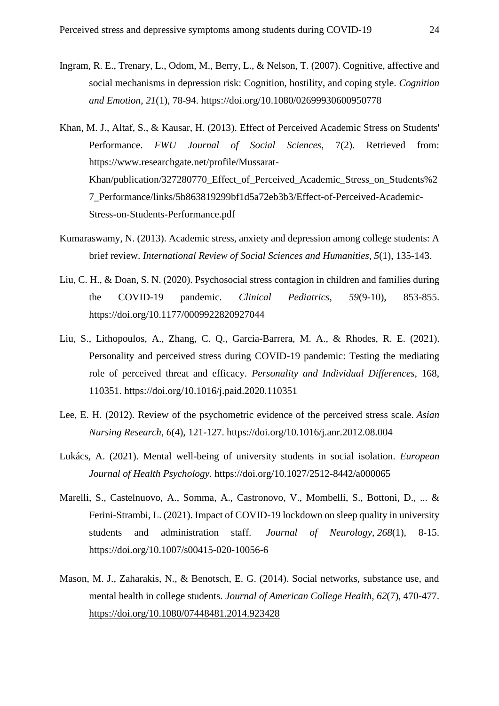- Ingram, R. E., Trenary, L., Odom, M., Berry, L., & Nelson, T. (2007). Cognitive, affective and social mechanisms in depression risk: Cognition, hostility, and coping style. *Cognition and Emotion*, *21*(1), 78-94. https://doi.org/10.1080/02699930600950778
- Khan, M. J., Altaf, S., & Kausar, H. (2013). Effect of Perceived Academic Stress on Students' Performance. *FWU Journal of Social Sciences*, 7(2). Retrieved from: https://www.researchgate.net/profile/Mussarat-Khan/publication/327280770\_Effect\_of\_Perceived\_Academic\_Stress\_on\_Students%2 7\_Performance/links/5b863819299bf1d5a72eb3b3/Effect-of-Perceived-Academic-Stress-on-Students-Performance.pdf
- Kumaraswamy, N. (2013). Academic stress, anxiety and depression among college students: A brief review. *International Review of Social Sciences and Humanities*, *5*(1), 135-143.
- Liu, C. H., & Doan, S. N. (2020). Psychosocial stress contagion in children and families during the COVID-19 pandemic. *Clinical Pediatrics*, *59*(9-10), 853-855. https://doi.org/10.1177/0009922820927044
- Liu, S., Lithopoulos, A., Zhang, C. Q., Garcia-Barrera, M. A., & Rhodes, R. E. (2021). Personality and perceived stress during COVID-19 pandemic: Testing the mediating role of perceived threat and efficacy. *Personality and Individual Differences*, 168, 110351. https://doi.org/10.1016/j.paid.2020.110351
- Lee, E. H. (2012). Review of the psychometric evidence of the perceived stress scale. *Asian Nursing Research*, *6*(4), 121-127.<https://doi.org/10.1016/j.anr.2012.08.004>
- Lukács, A. (2021). Mental well-being of university students in social isolation. *European Journal of Health Psychology*.<https://doi.org/10.1027/2512-8442/a000065>
- Marelli, S., Castelnuovo, A., Somma, A., Castronovo, V., Mombelli, S., Bottoni, D., ... & Ferini-Strambi, L. (2021). Impact of COVID-19 lockdown on sleep quality in university students and administration staff. *Journal of Neurology*, *268*(1), 8-15. https://doi.org/10.1007/s00415-020-10056-6
- Mason, M. J., Zaharakis, N., & Benotsch, E. G. (2014). Social networks, substance use, and mental health in college students. *Journal of American College Health*, *62*(7), 470-477. <https://doi.org/10.1080/07448481.2014.923428>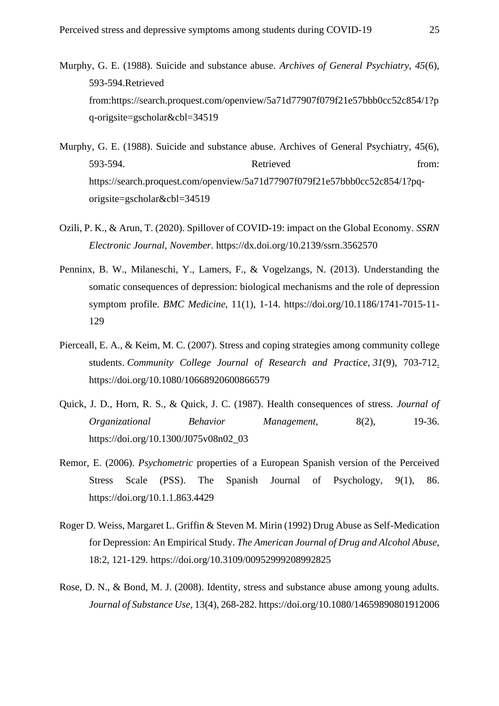- Murphy, G. E. (1988). Suicide and substance abuse. *Archives of General Psychiatry*, *45*(6), 593-594.Retrieved from:https://search.proquest.com/openview/5a71d77907f079f21e57bbb0cc52c854/1?p q-origsite=gscholar&cbl=34519
- Murphy, G. E. (1988). Suicide and substance abuse. Archives of General Psychiatry, 45(6), 593-594. Retrieved from: https://search.proquest.com/openview/5a71d77907f079f21e57bbb0cc52c854/1?pqorigsite=gscholar&cbl=34519
- Ozili, P. K., & Arun, T. (2020). Spillover of COVID-19: impact on the Global Economy. *SSRN Electronic Journal, November.* <https://dx.doi.org/10.2139/ssrn.3562570>
- Penninx, B. W., Milaneschi, Y., Lamers, F., & Vogelzangs, N. (2013). Understanding the somatic consequences of depression: biological mechanisms and the role of depression symptom profile. *BMC Medicine*, 11(1), 1-14. [https://doi.org/10.1186/1741-7015-11-](https://doi.org/10.1186/1741-7015-11-129) [129](https://doi.org/10.1186/1741-7015-11-129)
- Pierceall, E. A., & Keim, M. C. (2007). Stress and coping strategies among community college students. *Community College Journal of Research and Practice*, *31*(9), 703-712. <https://doi.org/10.1080/10668920600866579>
- Quick, J. D., Horn, R. S., & Quick, J. C. (1987). Health consequences of stress. *Journal of Organizational Behavior Management,* 8(2), 19-36. https://doi.org/10.1300/J075v08n02\_03
- Remor, E. (2006). *Psychometric* properties of a European Spanish version of the Perceived Stress Scale (PSS). The Spanish Journal of Psychology, 9(1), 86. https://doi.org/10.1.1.863.4429
- Roger D. Weiss, Margaret L. Griffin & Steven M. Mirin (1992) Drug Abuse as Self-Medication for Depression: An Empirical Study. *The American Journal of Drug and Alcohol Abuse*, 18:2, 121-129. https://doi.org/10.3109/00952999208992825
- Rose, D. N., & Bond, M. J. (2008). Identity, stress and substance abuse among young adults. *Journal of Substance Use*, 13(4), 268-282. https://doi.org/10.1080/14659890801912006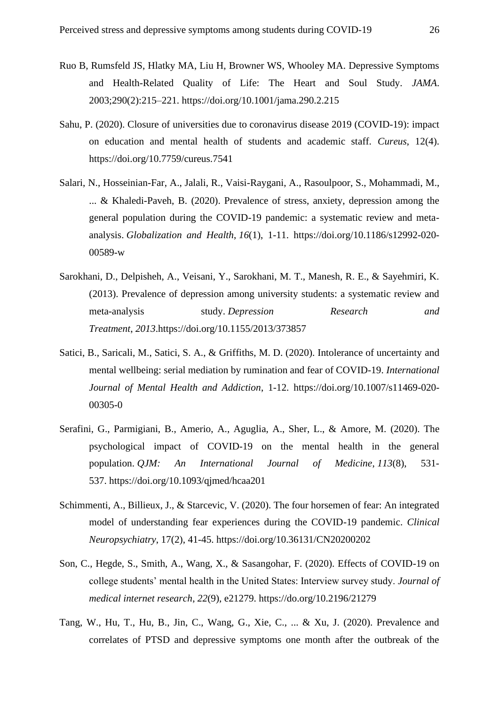- Ruo B, Rumsfeld JS, Hlatky MA, Liu H, Browner WS, Whooley MA. Depressive Symptoms and Health-Related Quality of Life: The Heart and Soul Study. *JAMA*. 2003;290(2):215–221. https://doi.org/10.1001/jama.290.2.215
- Sahu, P. (2020). Closure of universities due to coronavirus disease 2019 (COVID-19): impact on education and mental health of students and academic staff. *Cureus*, 12(4). https://doi.org/10.7759/cureus.7541
- Salari, N., Hosseinian-Far, A., Jalali, R., Vaisi-Raygani, A., Rasoulpoor, S., Mohammadi, M., ... & Khaledi-Paveh, B. (2020). Prevalence of stress, anxiety, depression among the general population during the COVID-19 pandemic: a systematic review and metaanalysis. *Globalization and Health*, *16*(1), 1-11. [https://doi.org/10.1186/s12992-020-](https://doi.org/10.1186/s12992-020-00589-w) [00589-w](https://doi.org/10.1186/s12992-020-00589-w)
- Sarokhani, D., Delpisheh, A., Veisani, Y., Sarokhani, M. T., Manesh, R. E., & Sayehmiri, K. (2013). Prevalence of depression among university students: a systematic review and meta-analysis study. *Depression Research and Treatment*, *2013*[.https://doi.org/10.1155/2013/373857](https://doi.org/10.1155/2013/373857)
- Satici, B., Saricali, M., Satici, S. A., & Griffiths, M. D. (2020). Intolerance of uncertainty and mental wellbeing: serial mediation by rumination and fear of COVID-19. *International Journal of Mental Health and Addiction*, 1-12. https://doi.org/10.1007/s11469-020- 00305-0
- Serafini, G., Parmigiani, B., Amerio, A., Aguglia, A., Sher, L., & Amore, M. (2020). The psychological impact of COVID-19 on the mental health in the general population. *QJM: An International Journal of Medicine*, *113*(8), 531- 537. <https://doi.org/10.1093/qjmed/hcaa201>
- Schimmenti, A., Billieux, J., & Starcevic, V. (2020). The four horsemen of fear: An integrated model of understanding fear experiences during the COVID-19 pandemic. *Clinical Neuropsychiatry*, 17(2), 41-45.<https://doi.org/10.36131/CN20200202>
- Son, C., Hegde, S., Smith, A., Wang, X., & Sasangohar, F. (2020). Effects of COVID-19 on college students' mental health in the United States: Interview survey study. *Journal of medical internet research*, *22*(9), e21279. https://do.org/10.2196/21279
- Tang, W., Hu, T., Hu, B., Jin, C., Wang, G., Xie, C., ... & Xu, J. (2020). Prevalence and correlates of PTSD and depressive symptoms one month after the outbreak of the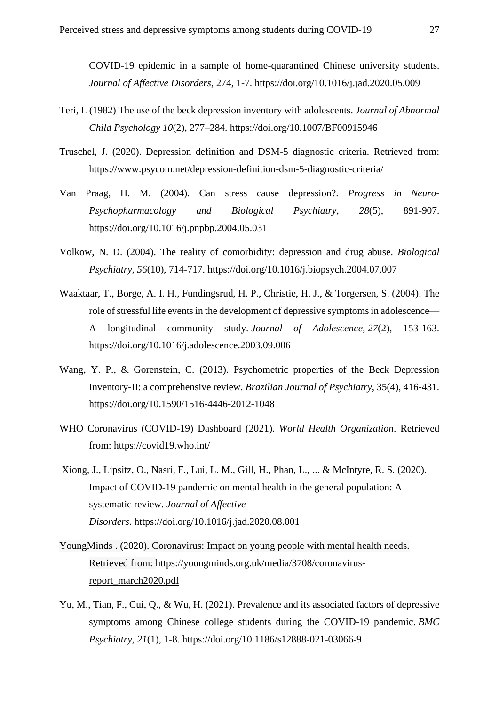COVID-19 epidemic in a sample of home-quarantined Chinese university students. *Journal of Affective Disorders*, 274, 1-7. https://doi.org/10.1016/j.jad.2020.05.009

- Teri, L (1982) The use of the beck depression inventory with adolescents. *Journal of Abnormal Child Psychology 10*(2), 277–284. https://doi.org/10.1007/BF00915946
- Truschel, J. (2020). Depression definition and DSM-5 diagnostic criteria. Retrieved from: <https://www.psycom.net/depression-definition-dsm-5-diagnostic-criteria/>
- Van Praag, H. M. (2004). Can stress cause depression?. *Progress in Neuro-Psychopharmacology and Biological Psychiatry*, *28*(5), 891-907. <https://doi.org/10.1016/j.pnpbp.2004.05.031>
- Volkow, N. D. (2004). The reality of comorbidity: depression and drug abuse. *Biological Psychiatry*, *56*(10), 714-717.<https://doi.org/10.1016/j.biopsych.2004.07.007>
- Waaktaar, T., Borge, A. I. H., Fundingsrud, H. P., Christie, H. J., & Torgersen, S. (2004). The role of stressful life events in the development of depressive symptoms in adolescence— A longitudinal community study. *Journal of Adolescence*, *27*(2), 153-163. <https://doi.org/10.1016/j.adolescence.2003.09.006>
- Wang, Y. P., & Gorenstein, C. (2013). Psychometric properties of the Beck Depression Inventory-II: a comprehensive review. *Brazilian Journal of Psychiatry*, 35(4), 416-431. <https://doi.org/10.1590/1516-4446-2012-1048>
- WHO Coronavirus (COVID-19) Dashboard (2021). *World Health Organization*. Retrieved from: https://covid19.who.int/
- Xiong, J., Lipsitz, O., Nasri, F., Lui, L. M., Gill, H., Phan, L., ... & McIntyre, R. S. (2020). Impact of COVID-19 pandemic on mental health in the general population: A systematic review. *Journal of Affective Disorders*. <https://doi.org/10.1016/j.jad.2020.08.001>
- YoungMinds . (2020). Coronavirus: Impact on young people with mental health needs. Retrieved from: [https://youngminds.org.uk/media/3708/coronavirus](https://youngminds.org.uk/media/3708/coronavirus-report_march2020.pdf)[report\\_march2020.pdf](https://youngminds.org.uk/media/3708/coronavirus-report_march2020.pdf)
- Yu, M., Tian, F., Cui, Q., & Wu, H. (2021). Prevalence and its associated factors of depressive symptoms among Chinese college students during the COVID-19 pandemic. *BMC Psychiatry*, *21*(1), 1-8. https://doi.org/10.1186/s12888-021-03066-9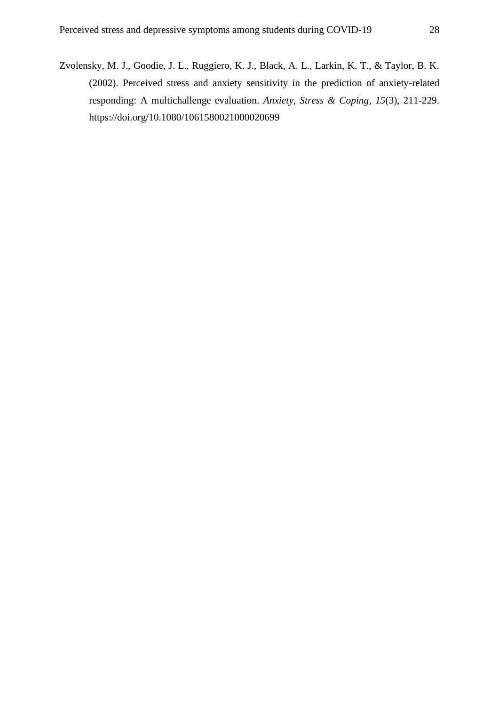Zvolensky, M. J., Goodie, J. L., Ruggiero, K. J., Black, A. L., Larkin, K. T., & Taylor, B. K. (2002). Perceived stress and anxiety sensitivity in the prediction of anxiety-related responding: A multichallenge evaluation. *Anxiety, Stress & Coping*, *15*(3), 211-229. https://doi.org/10.1080/1061580021000020699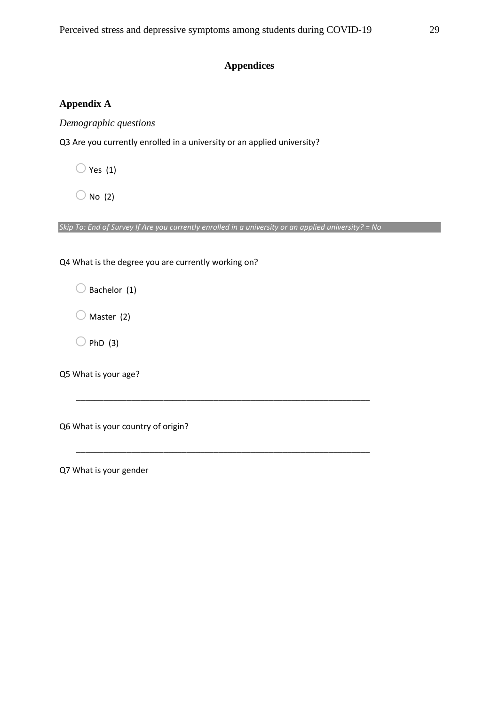## **Appendices**

## <span id="page-28-1"></span><span id="page-28-0"></span>**Appendix A**

*Demographic questions*

Q3 Are you currently enrolled in a university or an applied university?

 $\bigcirc$  Yes (1)

 $\bigcirc$  No (2)

*Skip To: End of Survey If Are you currently enrolled in a university or an applied university? = No*

\_\_\_\_\_\_\_\_\_\_\_\_\_\_\_\_\_\_\_\_\_\_\_\_\_\_\_\_\_\_\_\_\_\_\_\_\_\_\_\_\_\_\_\_\_\_\_\_\_\_\_\_\_\_\_\_\_\_\_\_\_\_\_\_

\_\_\_\_\_\_\_\_\_\_\_\_\_\_\_\_\_\_\_\_\_\_\_\_\_\_\_\_\_\_\_\_\_\_\_\_\_\_\_\_\_\_\_\_\_\_\_\_\_\_\_\_\_\_\_\_\_\_\_\_\_\_\_\_

Q4 What is the degree you are currently working on?

 $\bigcirc$  Bachelor (1)

 $\bigcirc$  Master (2)

 $O$  PhD (3)

Q5 What is your age?

Q6 What is your country of origin?

Q7 What is your gender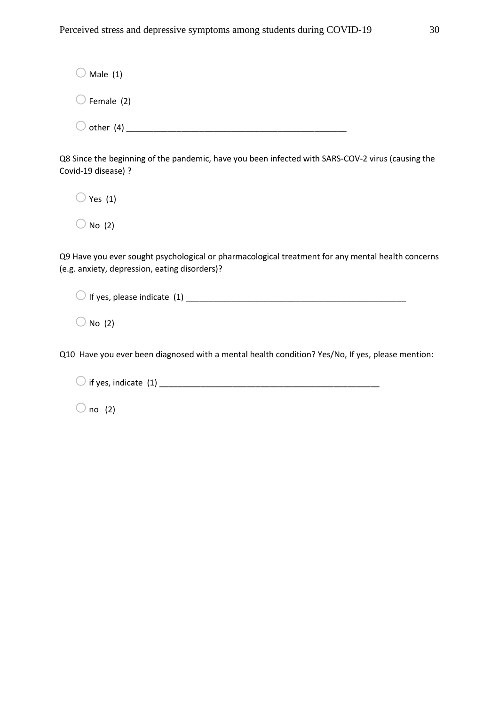$\bigcirc$  Male (1)  $\bigcirc$  Female (2) oother (4) \_\_\_\_\_\_\_\_\_\_\_\_\_\_\_\_\_\_\_\_\_\_\_\_\_\_\_\_\_\_\_\_\_\_\_\_\_\_\_\_\_\_\_\_\_\_\_\_

Q8 Since the beginning of the pandemic, have you been infected with SARS-COV-2 virus (causing the Covid-19 disease) ?

 $\bigcirc$  Yes (1)

 $\bigcirc$  No (2)

Q9 Have you ever sought psychological or pharmacological treatment for any mental health concerns (e.g. anxiety, depression, eating disorders)?

oIf yes, please indicate (1) \_\_\_\_\_\_\_\_\_\_\_\_\_\_\_\_\_\_\_\_\_\_\_\_\_\_\_\_\_\_\_\_\_\_\_\_\_\_\_\_\_\_\_\_\_\_\_\_

 $\bigcirc$  No (2)

Q10 Have you ever been diagnosed with a mental health condition? Yes/No, If yes, please mention:

oif yes, indicate (1) \_\_\_\_\_\_\_\_\_\_\_\_\_\_\_\_\_\_\_\_\_\_\_\_\_\_\_\_\_\_\_\_\_\_\_\_\_\_\_\_\_\_\_\_\_\_\_\_

 $\bigcirc$  no (2)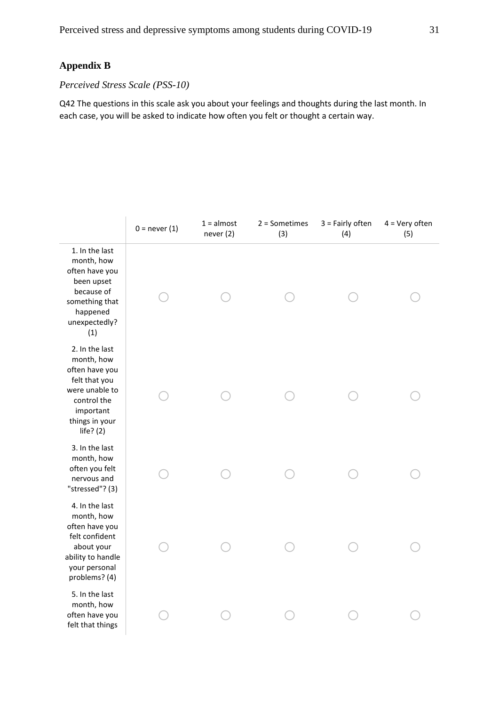## <span id="page-30-0"></span>**Appendix B**

## *Perceived Stress Scale (PSS-10)*

Q42 The questions in this scale ask you about your feelings and thoughts during the last month. In each case, you will be asked to indicate how often you felt or thought a certain way.

|                                                                                                                                                | $0 = never(1)$ | $1 =$ almost<br>never (2) | $2 =$ Sometimes<br>(3) | $3 =$ Fairly often<br>(4) | $4 = Very often$<br>(5) |
|------------------------------------------------------------------------------------------------------------------------------------------------|----------------|---------------------------|------------------------|---------------------------|-------------------------|
| 1. In the last<br>month, how<br>often have you<br>been upset<br>because of<br>something that<br>happened<br>unexpectedly?<br>(1)               |                |                           |                        |                           |                         |
| 2. In the last<br>month, how<br>often have you<br>felt that you<br>were unable to<br>control the<br>important<br>things in your<br>life? $(2)$ |                |                           |                        |                           |                         |
| 3. In the last<br>month, how<br>often you felt<br>nervous and<br>"stressed"? (3)                                                               |                |                           |                        |                           |                         |
| 4. In the last<br>month, how<br>often have you<br>felt confident<br>about your<br>ability to handle<br>your personal<br>problems? (4)          |                |                           |                        |                           |                         |
| 5. In the last<br>month, how<br>often have you<br>felt that things                                                                             |                |                           |                        |                           |                         |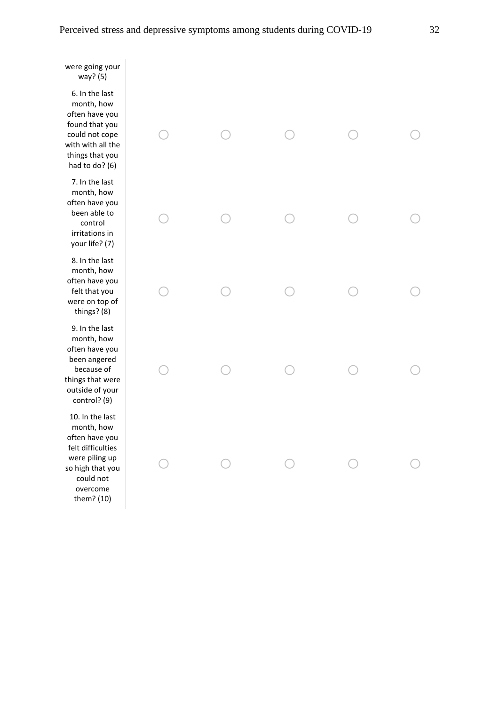were going your way? (5)

6. In the last month, how often have you found that you could not cope with with all the things that you had to do? (6)

7. In the last month, how often have you been able to control irritations in your life? (7)

8. In the last month, how often have you felt that you were on top of things? (8)

9. In the last month, how often have you been angered because of things that were outside of your control? (9)

10. In the last month, how often have you felt difficulties were piling up so high that you could not overcome them? (10)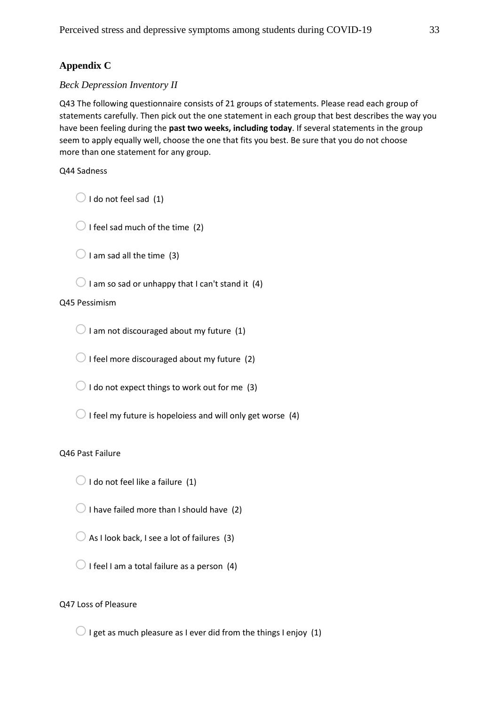## <span id="page-32-0"></span>**Appendix C**

## *Beck Depression Inventory II*

Q43 The following questionnaire consists of 21 groups of statements. Please read each group of statements carefully. Then pick out the one statement in each group that best describes the way you have been feeling during the **past two weeks, including today**. If several statements in the group seem to apply equally well, choose the one that fits you best. Be sure that you do not choose more than one statement for any group.

Q44 Sadness

 $\bigcirc$  I do not feel sad (1)

 $\bigcirc$  I feel sad much of the time (2)

 $\bigcirc$  I am sad all the time (3)

 $\bigcirc$  I am so sad or unhappy that I can't stand it (4)

## Q45 Pessimism

 $\bigcirc$  I am not discouraged about my future (1)

 $\bigcirc$  I feel more discouraged about my future (2)

 $\bigcirc$  I do not expect things to work out for me (3)

 $\bigcirc$  I feel my future is hopeloiess and will only get worse (4)

## Q46 Past Failure

 $\bigcirc$  I do not feel like a failure (1)

 $\bigcirc$  I have failed more than I should have (2)

 $\bigcirc$  As I look back, I see a lot of failures (3)

 $\bigcirc$  I feel I am a total failure as a person (4)

## Q47 Loss of Pleasure

 $\bigcirc$  I get as much pleasure as I ever did from the things I enjoy (1)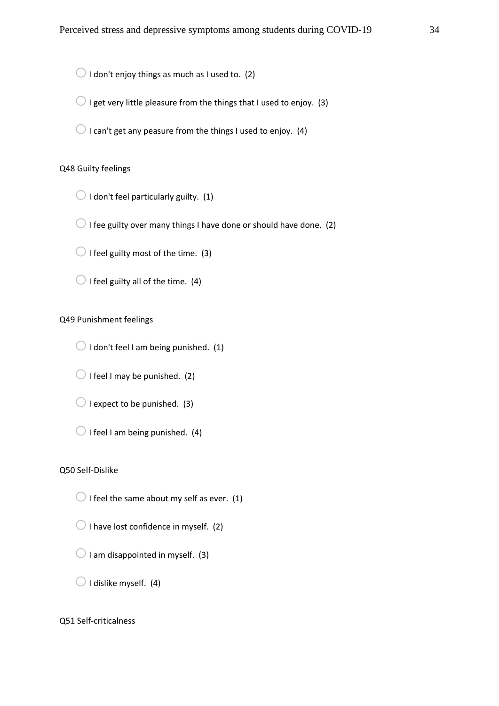$\bigcirc$  I don't enjoy things as much as I used to. (2)

 $\bigcirc$  I get very little pleasure from the things that I used to enjoy. (3)

 $\bigcirc$  I can't get any peasure from the things I used to enjoy. (4)

## Q48 Guilty feelings

 $\bigcirc$  I don't feel particularly guilty. (1)

 $\bigcirc$  I fee guilty over many things I have done or should have done. (2)

 $\bigcirc$  I feel guilty most of the time. (3)

 $\bigcirc$  I feel guilty all of the time. (4)

## Q49 Punishment feelings

 $\bigcirc$  I don't feel I am being punished. (1)

 $\bigcirc$  I feel I may be punished. (2)

 $\bigcirc$  I expect to be punished. (3)

 $\bigcirc$  I feel I am being punished. (4)

#### Q50 Self-Dislike

 $\bigcirc$  I feel the same about my self as ever. (1)

 $\bigcirc$  I have lost confidence in myself. (2)

 $\bigcirc$  I am disappointed in myself. (3)

 $\bigcirc$  I dislike myself. (4)

Q51 Self-criticalness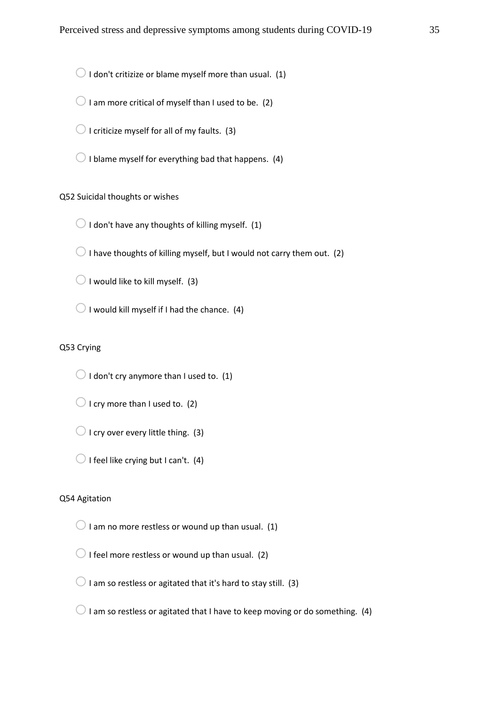$\bigcirc$  I don't critizize or blame myself more than usual. (1)

 $\bigcirc$  I am more critical of myself than I used to be. (2)

 $\bigcirc$  I criticize myself for all of my faults. (3)

 $\bigcirc$  I blame myself for everything bad that happens. (4)

### Q52 Suicidal thoughts or wishes

 $\bigcirc$  I don't have any thoughts of killing myself. (1)

 $\bigcirc$  I have thoughts of killing myself, but I would not carry them out. (2)

 $\bigcirc$  I would like to kill myself. (3)

 $\bigcirc$  I would kill myself if I had the chance. (4)

## Q53 Crying

 $\bigcirc$  I don't cry anymore than I used to. (1)

 $\bigcirc$  I cry more than I used to. (2)

 $\bigcirc$  I cry over every little thing. (3)

 $\bigcirc$  I feel like crying but I can't. (4)

## Q54 Agitation

 $\bigcirc$  I am no more restless or wound up than usual. (1)

 $\bigcirc$  I feel more restless or wound up than usual. (2)

 $\bigcirc$  I am so restless or agitated that it's hard to stay still. (3)

 $\bigcirc$  I am so restless or agitated that I have to keep moving or do something. (4)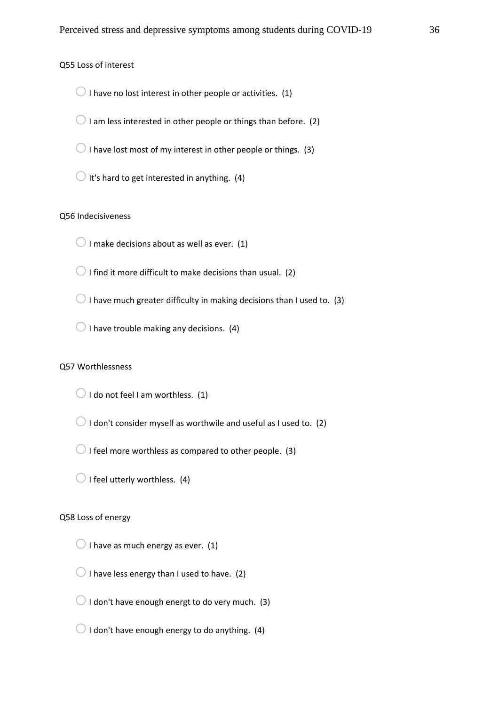Q55 Loss of interest

 $\bigcirc$  I have no lost interest in other people or activities. (1)

 $\bigcirc$  I am less interested in other people or things than before. (2)

 $\bigcirc$  I have lost most of my interest in other people or things. (3)

 $\bigcirc$  It's hard to get interested in anything. (4)

## Q56 Indecisiveness

 $\bigcirc$  I make decisions about as well as ever. (1)

 $\bigcirc$  I find it more difficult to make decisions than usual. (2)

 $\bigcirc$  I have much greater difficulty in making decisions than I used to. (3)

 $\bigcirc$  I have trouble making any decisions. (4)

#### Q57 Worthlessness

 $\bigcirc$  I do not feel I am worthless. (1)

 $\bigcirc$  I don't consider myself as worthwile and useful as I used to. (2)

 $\bigcirc$  I feel more worthless as compared to other people. (3)

 $\bigcirc$  I feel utterly worthless. (4)

## Q58 Loss of energy

 $\bigcirc$  I have as much energy as ever. (1)

 $\bigcirc$  I have less energy than I used to have. (2)

 $\bigcirc$  I don't have enough energt to do very much. (3)

 $\bigcirc$  I don't have enough energy to do anything. (4)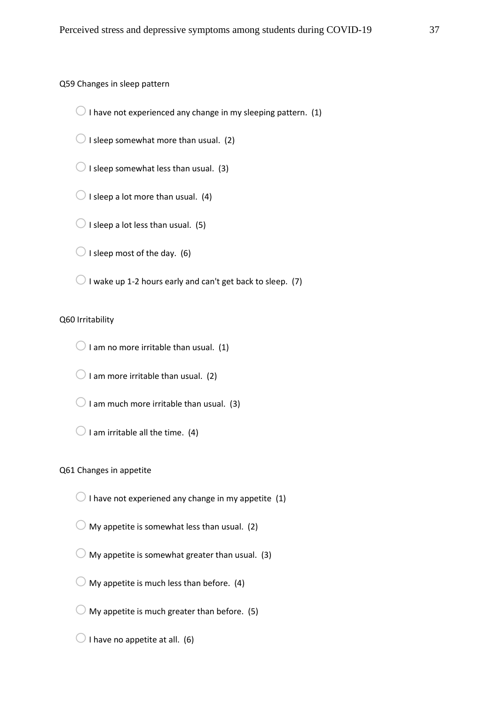Q59 Changes in sleep pattern

 $\bigcirc$  I have not experienced any change in my sleeping pattern. (1)

 $\bigcirc$  I sleep somewhat more than usual. (2)

 $\bigcirc$  I sleep somewhat less than usual. (3)

 $\bigcirc$  I sleep a lot more than usual. (4)

 $\bigcirc$  I sleep a lot less than usual. (5)

 $\bigcirc$  I sleep most of the day. (6)

 $\bigcirc$  I wake up 1-2 hours early and can't get back to sleep. (7)

## Q60 Irritability

 $\bigcirc$  I am no more irritable than usual. (1)

 $\bigcirc$  I am more irritable than usual. (2)

 $\bigcirc$  I am much more irritable than usual. (3)

 $\bigcirc$  I am irritable all the time. (4)

#### Q61 Changes in appetite

 $\bigcirc$  I have not experiened any change in my appetite (1)

 $\bigcirc$  My appetite is somewhat less than usual. (2)

 $\bigcirc$  My appetite is somewhat greater than usual. (3)

 $\bigcirc$  My appetite is much less than before. (4)

 $\bigcirc$  My appetite is much greater than before. (5)

 $\bigcirc$  I have no appetite at all. (6)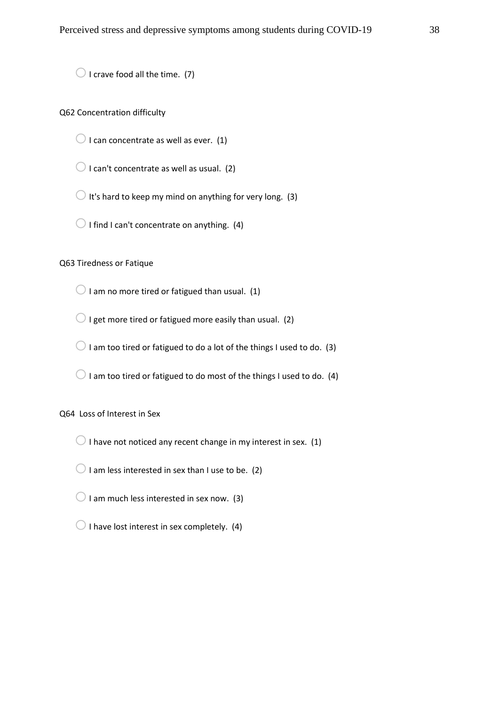$\bigcirc$  I crave food all the time. (7)

## Q62 Concentration difficulty

 $\bigcirc$  I can concentrate as well as ever. (1)

 $\bigcirc$  I can't concentrate as well as usual. (2)

 $\bigcirc$  It's hard to keep my mind on anything for very long. (3)

 $\bigcirc$  I find I can't concentrate on anything. (4)

## Q63 Tiredness or Fatique

 $\bigcirc$  I am no more tired or fatigued than usual. (1)

 $\bigcirc$  I get more tired or fatigued more easily than usual. (2)

 $\bigcirc$  I am too tired or fatigued to do a lot of the things I used to do. (3)

 $\bigcirc$  I am too tired or fatigued to do most of the things I used to do. (4)

## Q64 Loss of Interest in Sex

 $\bigcirc$  I have not noticed any recent change in my interest in sex. (1)

 $\bigcirc$  I am less interested in sex than I use to be. (2)

 $\bigcirc$  I am much less interested in sex now. (3)

 $\bigcirc$  I have lost interest in sex completely. (4)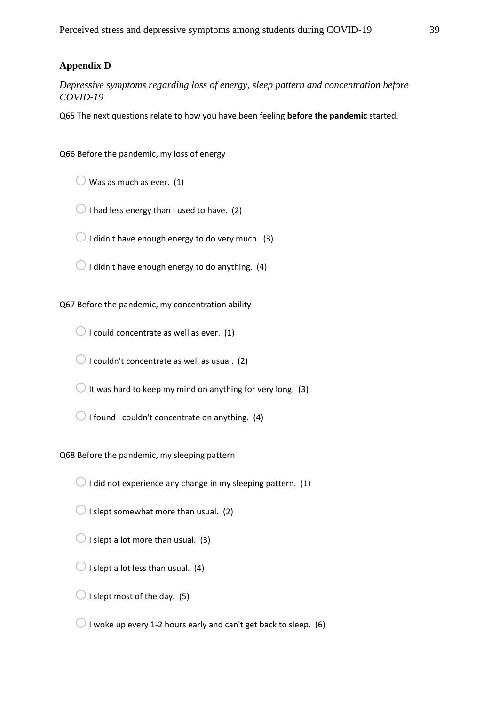## <span id="page-38-0"></span>**Appendix D**

*Depressive symptoms regarding loss of energy, sleep pattern and concentration before COVID-19*

Q65 The next questions relate to how you have been feeling **before the pandemic** started.

Q66 Before the pandemic, my loss of energy

 $\bigcirc$  Was as much as ever. (1)

 $\bigcirc$  I had less energy than I used to have. (2)

 $\bigcirc$  I didn't have enough energy to do very much. (3)

 $\bigcirc$  I didn't have enough energy to do anything. (4)

Q67 Before the pandemic, my concentration ability

 $\bigcirc$  I could concentrate as well as ever. (1)

 $\bigcirc$  I couldn't concentrate as well as usual. (2)

 $\bigcirc$  It was hard to keep my mind on anything for very long. (3)

 $\bigcirc$  I found I couldn't concentrate on anything. (4)

Q68 Before the pandemic, my sleeping pattern

 $\bigcirc$  I did not experience any change in my sleeping pattern. (1)

 $\bigcirc$  I slept somewhat more than usual. (2)

 $\bigcirc$  I slept a lot more than usual. (3)

 $\bigcirc$  I slept a lot less than usual. (4)

 $\bigcirc$  I slept most of the day. (5)

 $\bigcirc$  I woke up every 1-2 hours early and can't get back to sleep. (6)